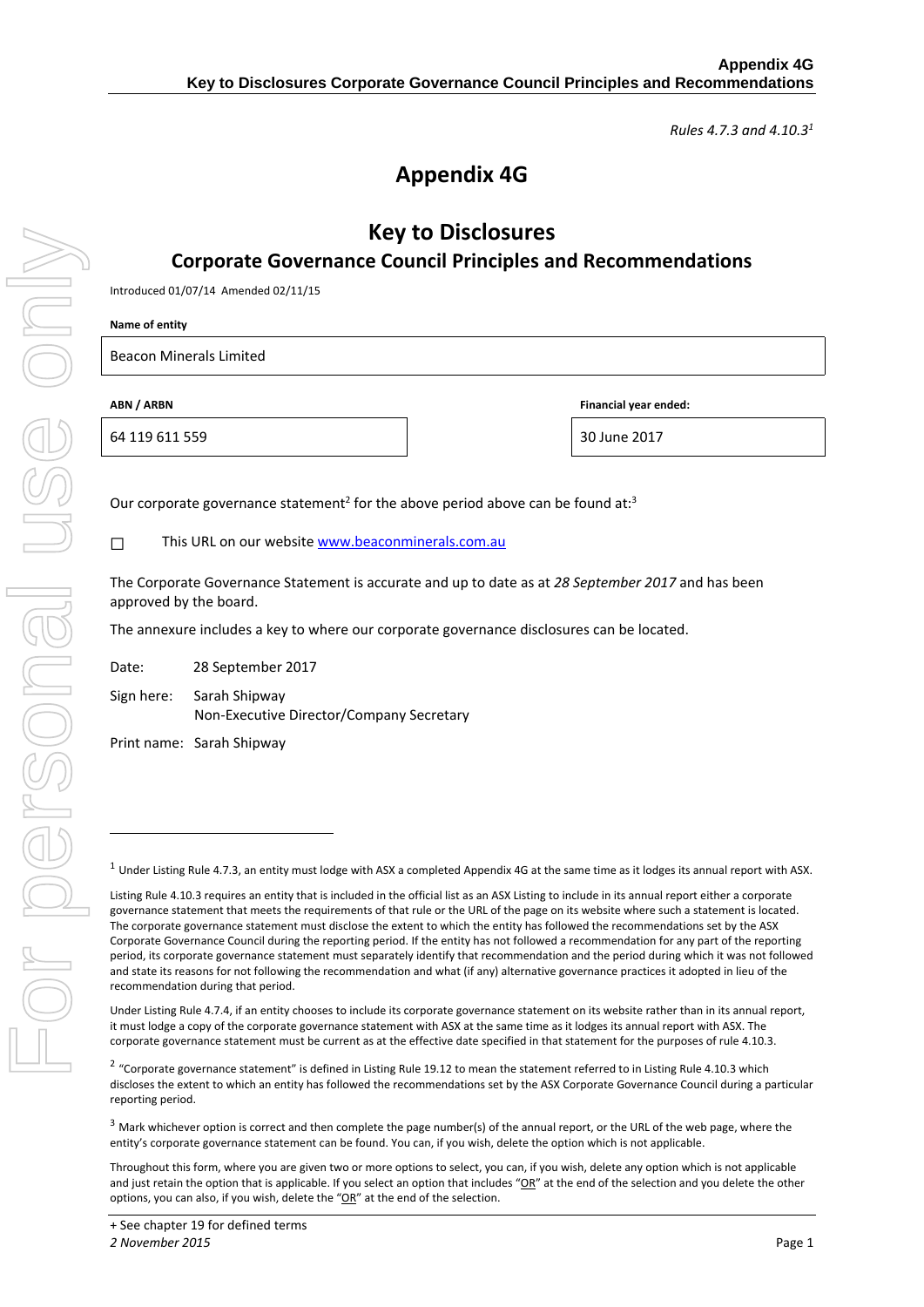*Rules 4.7.3 and 4.10.31*

# **Appendix 4G**

## **Key to Disclosures Corporate Governance Council Principles and Recommendations**

Introduced 01/07/14 Amended 02/11/15

**Name of entity**

Beacon Minerals Limited

64 119 611 559 30 June 2017

**ABN / ARBN Financial year ended:**

Our corporate governance statement<sup>2</sup> for the above period above can be found at:<sup>3</sup>

□ This URL on our website www.beaconminerals.com.au

The Corporate Governance Statement is accurate and up to date as at *28 September 2017* and has been approved by the board.

The annexure includes a key to where our corporate governance disclosures can be located.

Date: 28 September 2017

Sign here: Sarah Shipway Non‐Executive Director/Company Secretary

Print name: Sarah Shipway

 $1$  Under Listing Rule 4.7.3, an entity must lodge with ASX a completed Appendix 4G at the same time as it lodges its annual report with ASX.

-

Listing Rule 4.10.3 requires an entity that is included in the official list as an ASX Listing to include in its annual report either a corporate governance statement that meets the requirements of that rule or the URL of the page on its website where such a statement is located. The corporate governance statement must disclose the extent to which the entity has followed the recommendations set by the ASX Corporate Governance Council during the reporting period. If the entity has not followed a recommendation for any part of the reporting period, its corporate governance statement must separately identify that recommendation and the period during which it was not followed and state its reasons for not following the recommendation and what (if any) alternative governance practices it adopted in lieu of the recommendation during that period.

Under Listing Rule 4.7.4, if an entity chooses to include its corporate governance statement on its website rather than in its annual report, it must lodge a copy of the corporate governance statement with ASX at the same time as it lodges its annual report with ASX. The corporate governance statement must be current as at the effective date specified in that statement for the purposes of rule 4.10.3.

<sup>&</sup>lt;sup>2</sup> "Corporate governance statement" is defined in Listing Rule 19.12 to mean the statement referred to in Listing Rule 4.10.3 which discloses the extent to which an entity has followed the recommendations set by the ASX Corporate Governance Council during a particular reporting period.

 $3$  Mark whichever option is correct and then complete the page number(s) of the annual report, or the URL of the web page, where the entity's corporate governance statement can be found. You can, if you wish, delete the option which is not applicable.

Throughout this form, where you are given two or more options to select, you can, if you wish, delete any option which is not applicable and just retain the option that is applicable. If you select an option that includes "OR" at the end of the selection and you delete the other options, you can also, if you wish, delete the "OR" at the end of the selection.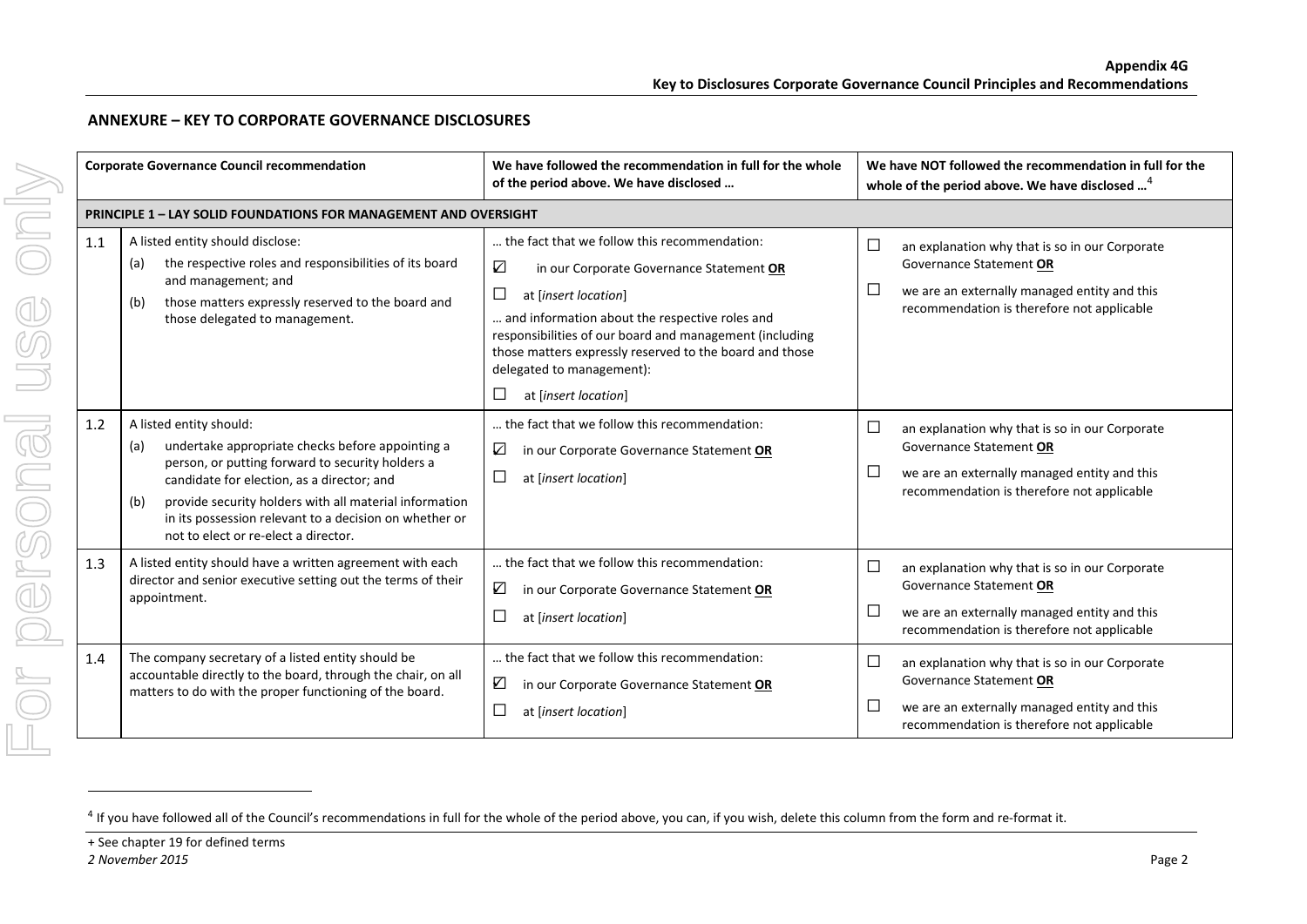|  |     | <b>Corporate Governance Council recommendation</b>                                                                                                                                                                                                                                                                                                      | We have followed the recommendation in full for the whole<br>of the period above. We have disclosed                                                                                                                                                                                                                                                                              | We have NOT followed the recommendation in full for the<br>whole of the period above. We have disclosed <sup>4</sup>                                                                   |  |
|--|-----|---------------------------------------------------------------------------------------------------------------------------------------------------------------------------------------------------------------------------------------------------------------------------------------------------------------------------------------------------------|----------------------------------------------------------------------------------------------------------------------------------------------------------------------------------------------------------------------------------------------------------------------------------------------------------------------------------------------------------------------------------|----------------------------------------------------------------------------------------------------------------------------------------------------------------------------------------|--|
|  |     | <b>PRINCIPLE 1 - LAY SOLID FOUNDATIONS FOR MANAGEMENT AND OVERSIGHT</b>                                                                                                                                                                                                                                                                                 |                                                                                                                                                                                                                                                                                                                                                                                  |                                                                                                                                                                                        |  |
|  | 1.1 | A listed entity should disclose:<br>the respective roles and responsibilities of its board<br>(a)<br>and management; and<br>those matters expressly reserved to the board and<br>(b)<br>those delegated to management.                                                                                                                                  | the fact that we follow this recommendation:<br>$\boldsymbol{\nabla}$<br>in our Corporate Governance Statement OR<br>$\Box$<br>at [insert location]<br>and information about the respective roles and<br>responsibilities of our board and management (including<br>those matters expressly reserved to the board and those<br>delegated to management):<br>at [insert location] | $\Box$<br>an explanation why that is so in our Corporate<br>Governance Statement OR<br>□<br>we are an externally managed entity and this<br>recommendation is therefore not applicable |  |
|  | 1.2 | A listed entity should:<br>undertake appropriate checks before appointing a<br>(a)<br>person, or putting forward to security holders a<br>candidate for election, as a director; and<br>provide security holders with all material information<br>(b)<br>in its possession relevant to a decision on whether or<br>not to elect or re-elect a director. | the fact that we follow this recommendation:<br>☑<br>in our Corporate Governance Statement OR<br>□<br>at [insert location]                                                                                                                                                                                                                                                       | $\Box$<br>an explanation why that is so in our Corporate<br>Governance Statement OR<br>□<br>we are an externally managed entity and this<br>recommendation is therefore not applicable |  |
|  | 1.3 | A listed entity should have a written agreement with each<br>director and senior executive setting out the terms of their<br>appointment.                                                                                                                                                                                                               | the fact that we follow this recommendation:<br>☑<br>in our Corporate Governance Statement OR<br>at [insert location]                                                                                                                                                                                                                                                            | □<br>an explanation why that is so in our Corporate<br>Governance Statement OR<br>□<br>we are an externally managed entity and this<br>recommendation is therefore not applicable      |  |
|  | 1.4 | The company secretary of a listed entity should be<br>accountable directly to the board, through the chair, on all<br>matters to do with the proper functioning of the board.                                                                                                                                                                           | the fact that we follow this recommendation:<br>☑<br>in our Corporate Governance Statement OR<br>□<br>at [insert location]                                                                                                                                                                                                                                                       | □<br>an explanation why that is so in our Corporate<br>Governance Statement OR<br>$\Box$<br>we are an externally managed entity and this<br>recommendation is therefore not applicable |  |

#### **ANNEXURE – KEY TO CORPORATE GOVERNANCE DISCLOSURES**

 $^{4}$  If you have followed all of the Council's recommendations in full for the whole of the period above, you can, if you wish, delete this column from the form and re-format it.

<sup>+</sup> See chapter 19 for defined terms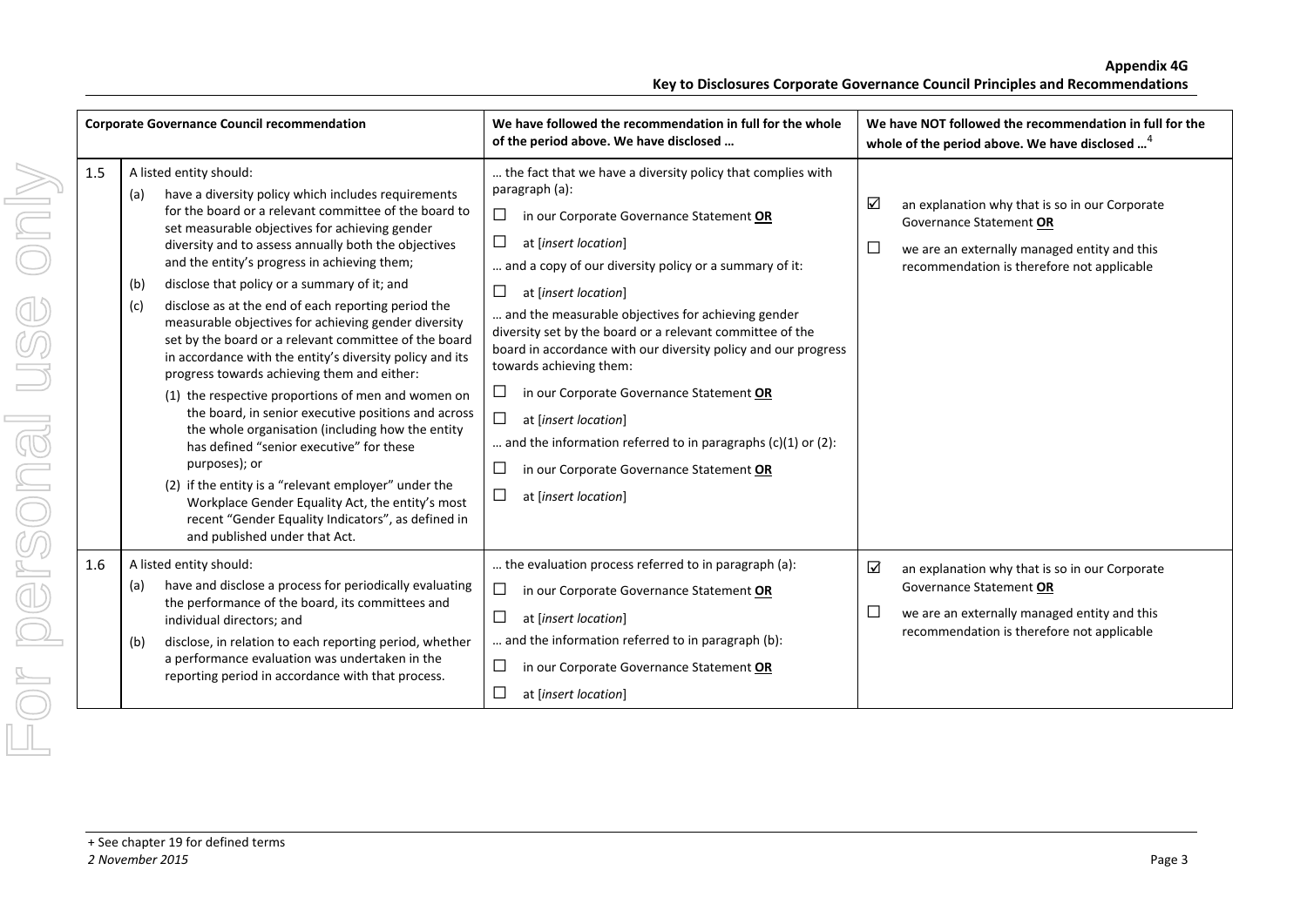|     | <b>Corporate Governance Council recommendation</b>                                                                                                                                                                                                                                                                                                                                                                                                                                                                                                                                                                                                                                                                                                                                                                                                                                                                                                                                                                                                                                         | We have followed the recommendation in full for the whole<br>of the period above. We have disclosed                                                                                                                                                                                                                                                                                                                                                                                                                                                                                                                                                                                                                | We have NOT followed the recommendation in full for the<br>whole of the period above. We have disclosed <sup>4</sup>                                                                                      |
|-----|--------------------------------------------------------------------------------------------------------------------------------------------------------------------------------------------------------------------------------------------------------------------------------------------------------------------------------------------------------------------------------------------------------------------------------------------------------------------------------------------------------------------------------------------------------------------------------------------------------------------------------------------------------------------------------------------------------------------------------------------------------------------------------------------------------------------------------------------------------------------------------------------------------------------------------------------------------------------------------------------------------------------------------------------------------------------------------------------|--------------------------------------------------------------------------------------------------------------------------------------------------------------------------------------------------------------------------------------------------------------------------------------------------------------------------------------------------------------------------------------------------------------------------------------------------------------------------------------------------------------------------------------------------------------------------------------------------------------------------------------------------------------------------------------------------------------------|-----------------------------------------------------------------------------------------------------------------------------------------------------------------------------------------------------------|
| 1.5 | A listed entity should:<br>have a diversity policy which includes requirements<br>(a)<br>for the board or a relevant committee of the board to<br>set measurable objectives for achieving gender<br>diversity and to assess annually both the objectives<br>and the entity's progress in achieving them;<br>disclose that policy or a summary of it; and<br>(b)<br>disclose as at the end of each reporting period the<br>(c)<br>measurable objectives for achieving gender diversity<br>set by the board or a relevant committee of the board<br>in accordance with the entity's diversity policy and its<br>progress towards achieving them and either:<br>(1) the respective proportions of men and women on<br>the board, in senior executive positions and across<br>the whole organisation (including how the entity<br>has defined "senior executive" for these<br>purposes); or<br>(2) if the entity is a "relevant employer" under the<br>Workplace Gender Equality Act, the entity's most<br>recent "Gender Equality Indicators", as defined in<br>and published under that Act. | the fact that we have a diversity policy that complies with<br>paragraph (a):<br>$\Box$<br>in our Corporate Governance Statement OR<br>$\Box$<br>at [insert location]<br>and a copy of our diversity policy or a summary of it:<br>$\Box$<br>at [insert location]<br>and the measurable objectives for achieving gender<br>diversity set by the board or a relevant committee of the<br>board in accordance with our diversity policy and our progress<br>towards achieving them:<br>⊔<br>in our Corporate Governance Statement OR<br>□<br>at [insert location]<br>and the information referred to in paragraphs $(c)(1)$ or $(2)$ :<br>⊔<br>in our Corporate Governance Statement OR<br>⊔<br>at [insert location] | $\blacktriangledown$<br>an explanation why that is so in our Corporate<br>Governance Statement OR<br>$\Box$<br>we are an externally managed entity and this<br>recommendation is therefore not applicable |
| 1.6 | A listed entity should:<br>have and disclose a process for periodically evaluating<br>(a)<br>the performance of the board, its committees and<br>individual directors; and<br>disclose, in relation to each reporting period, whether<br>(b)<br>a performance evaluation was undertaken in the<br>reporting period in accordance with that process.                                                                                                                                                                                                                                                                                                                                                                                                                                                                                                                                                                                                                                                                                                                                        | the evaluation process referred to in paragraph (a):<br>$\Box$<br>in our Corporate Governance Statement OR<br>$\Box$<br>at [insert location]<br>and the information referred to in paragraph (b):<br>□<br>in our Corporate Governance Statement OR<br>at [insert location]                                                                                                                                                                                                                                                                                                                                                                                                                                         | ☑<br>an explanation why that is so in our Corporate<br>Governance Statement OR<br>$\Box$<br>we are an externally managed entity and this<br>recommendation is therefore not applicable                    |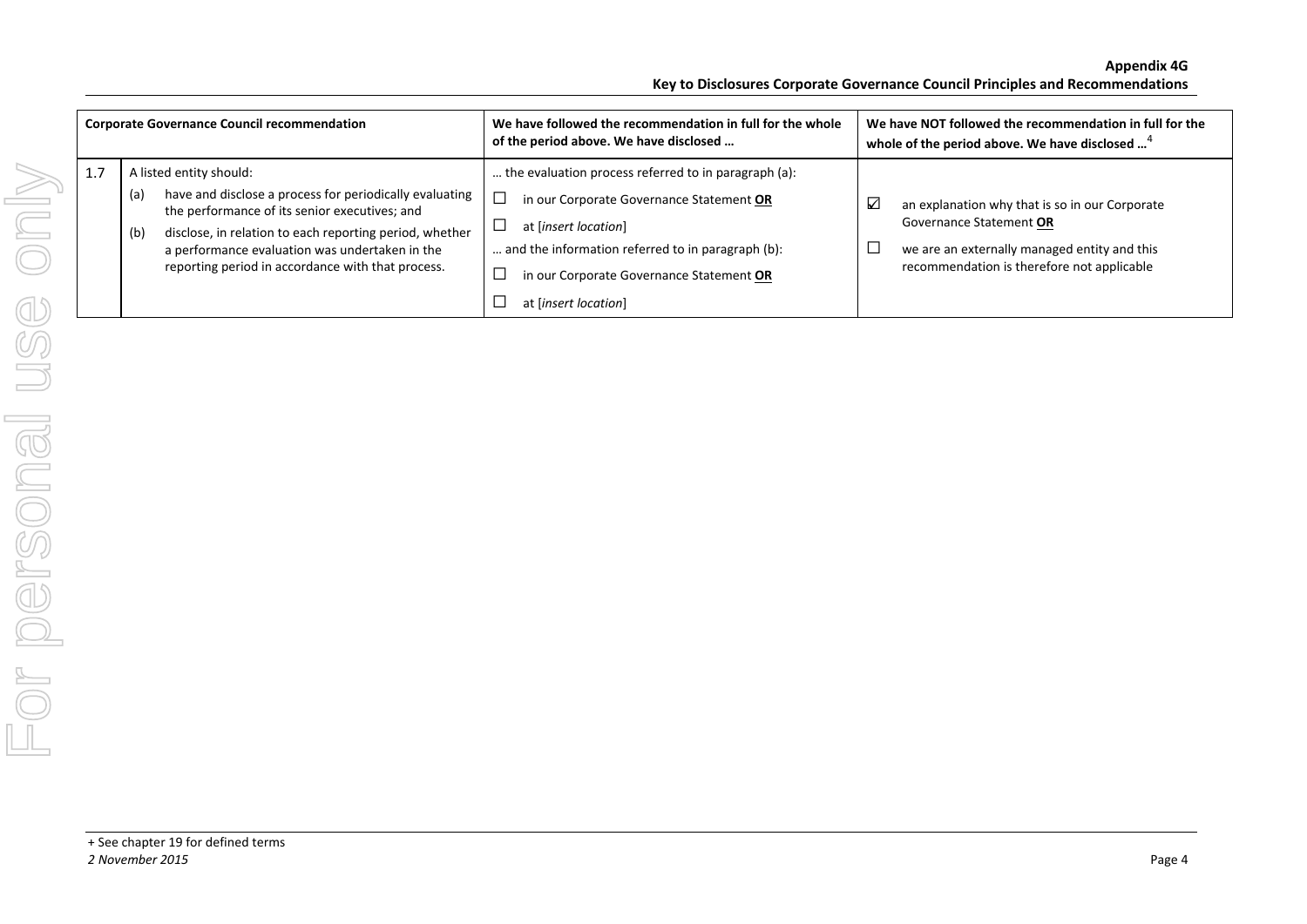| <b>Corporate Governance Council recommendation</b> |            |                                                                                                                                                                                                                       | We have followed the recommendation in full for the whole<br>of the period above. We have disclosed                   |   | We have NOT followed the recommendation in full for the<br>whole of the period above. We have disclosed <sup>4</sup>      |
|----------------------------------------------------|------------|-----------------------------------------------------------------------------------------------------------------------------------------------------------------------------------------------------------------------|-----------------------------------------------------------------------------------------------------------------------|---|---------------------------------------------------------------------------------------------------------------------------|
| 1.7                                                |            | A listed entity should:                                                                                                                                                                                               | the evaluation process referred to in paragraph (a):                                                                  |   |                                                                                                                           |
|                                                    | (a)<br>(b) | have and disclose a process for periodically evaluating<br>the performance of its senior executives; and<br>disclose, in relation to each reporting period, whether<br>a performance evaluation was undertaken in the | in our Corporate Governance Statement OR<br>at [insert location]<br>and the information referred to in paragraph (b): | ⊻ | an explanation why that is so in our Corporate<br>Governance Statement OR<br>we are an externally managed entity and this |
|                                                    |            | reporting period in accordance with that process.                                                                                                                                                                     | in our Corporate Governance Statement OR                                                                              |   | recommendation is therefore not applicable                                                                                |
|                                                    |            |                                                                                                                                                                                                                       | at [insert location]                                                                                                  |   |                                                                                                                           |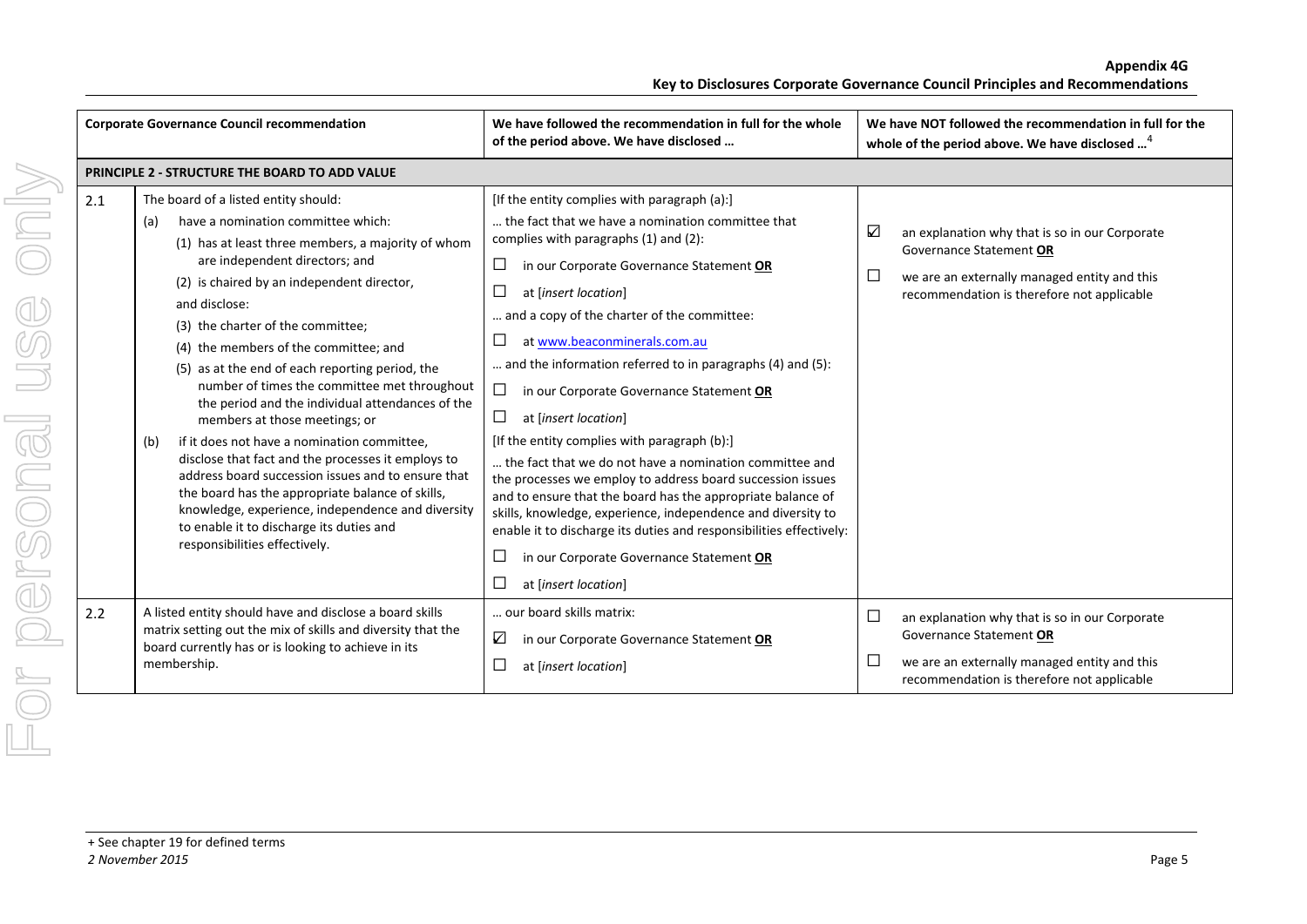|     | <b>Corporate Governance Council recommendation</b>                                                                                                                                                                                                                                                                                                                                                                                                                                                                                                                                                                                                                                                                                                                                                                                                                     | We have followed the recommendation in full for the whole<br>of the period above. We have disclosed                                                                                                                                                                                                                                                                                                                                                                                                                                                                                                                                                                                                                                                                                                                                                                                                                                                 | We have NOT followed the recommendation in full for the<br>whole of the period above. We have disclosed <sup>4</sup>                                                                        |
|-----|------------------------------------------------------------------------------------------------------------------------------------------------------------------------------------------------------------------------------------------------------------------------------------------------------------------------------------------------------------------------------------------------------------------------------------------------------------------------------------------------------------------------------------------------------------------------------------------------------------------------------------------------------------------------------------------------------------------------------------------------------------------------------------------------------------------------------------------------------------------------|-----------------------------------------------------------------------------------------------------------------------------------------------------------------------------------------------------------------------------------------------------------------------------------------------------------------------------------------------------------------------------------------------------------------------------------------------------------------------------------------------------------------------------------------------------------------------------------------------------------------------------------------------------------------------------------------------------------------------------------------------------------------------------------------------------------------------------------------------------------------------------------------------------------------------------------------------------|---------------------------------------------------------------------------------------------------------------------------------------------------------------------------------------------|
|     | PRINCIPLE 2 - STRUCTURE THE BOARD TO ADD VALUE                                                                                                                                                                                                                                                                                                                                                                                                                                                                                                                                                                                                                                                                                                                                                                                                                         |                                                                                                                                                                                                                                                                                                                                                                                                                                                                                                                                                                                                                                                                                                                                                                                                                                                                                                                                                     |                                                                                                                                                                                             |
| 2.1 | The board of a listed entity should:<br>have a nomination committee which:<br>(a)<br>(1) has at least three members, a majority of whom<br>are independent directors; and<br>(2) is chaired by an independent director,<br>and disclose:<br>(3) the charter of the committee;<br>(4) the members of the committee; and<br>(5) as at the end of each reporting period, the<br>number of times the committee met throughout<br>the period and the individual attendances of the<br>members at those meetings; or<br>if it does not have a nomination committee,<br>(b)<br>disclose that fact and the processes it employs to<br>address board succession issues and to ensure that<br>the board has the appropriate balance of skills,<br>knowledge, experience, independence and diversity<br>to enable it to discharge its duties and<br>responsibilities effectively. | [If the entity complies with paragraph (a):]<br>the fact that we have a nomination committee that<br>complies with paragraphs (1) and (2):<br>⊔<br>in our Corporate Governance Statement OR<br>$\Box$<br>at [insert location]<br>and a copy of the charter of the committee:<br>$\Box$<br>at www.beaconminerals.com.au<br>and the information referred to in paragraphs (4) and (5):<br>$\Box$<br>in our Corporate Governance Statement OR<br>$\Box$<br>at [insert location]<br>[If the entity complies with paragraph (b):]<br>the fact that we do not have a nomination committee and<br>the processes we employ to address board succession issues<br>and to ensure that the board has the appropriate balance of<br>skills, knowledge, experience, independence and diversity to<br>enable it to discharge its duties and responsibilities effectively:<br>$\Box$<br>in our Corporate Governance Statement OR<br>$\Box$<br>at [insert location] | ☑<br>an explanation why that is so in our Corporate<br>Governance Statement OR<br>$\Box$<br>we are an externally managed entity and this<br>recommendation is therefore not applicable      |
| 2.2 | A listed entity should have and disclose a board skills<br>matrix setting out the mix of skills and diversity that the<br>board currently has or is looking to achieve in its<br>membership.                                                                                                                                                                                                                                                                                                                                                                                                                                                                                                                                                                                                                                                                           | our board skills matrix:<br>☑<br>in our Corporate Governance Statement OR<br>$\Box$<br>at [insert location]                                                                                                                                                                                                                                                                                                                                                                                                                                                                                                                                                                                                                                                                                                                                                                                                                                         | $\Box$<br>an explanation why that is so in our Corporate<br>Governance Statement OR<br>$\Box$<br>we are an externally managed entity and this<br>recommendation is therefore not applicable |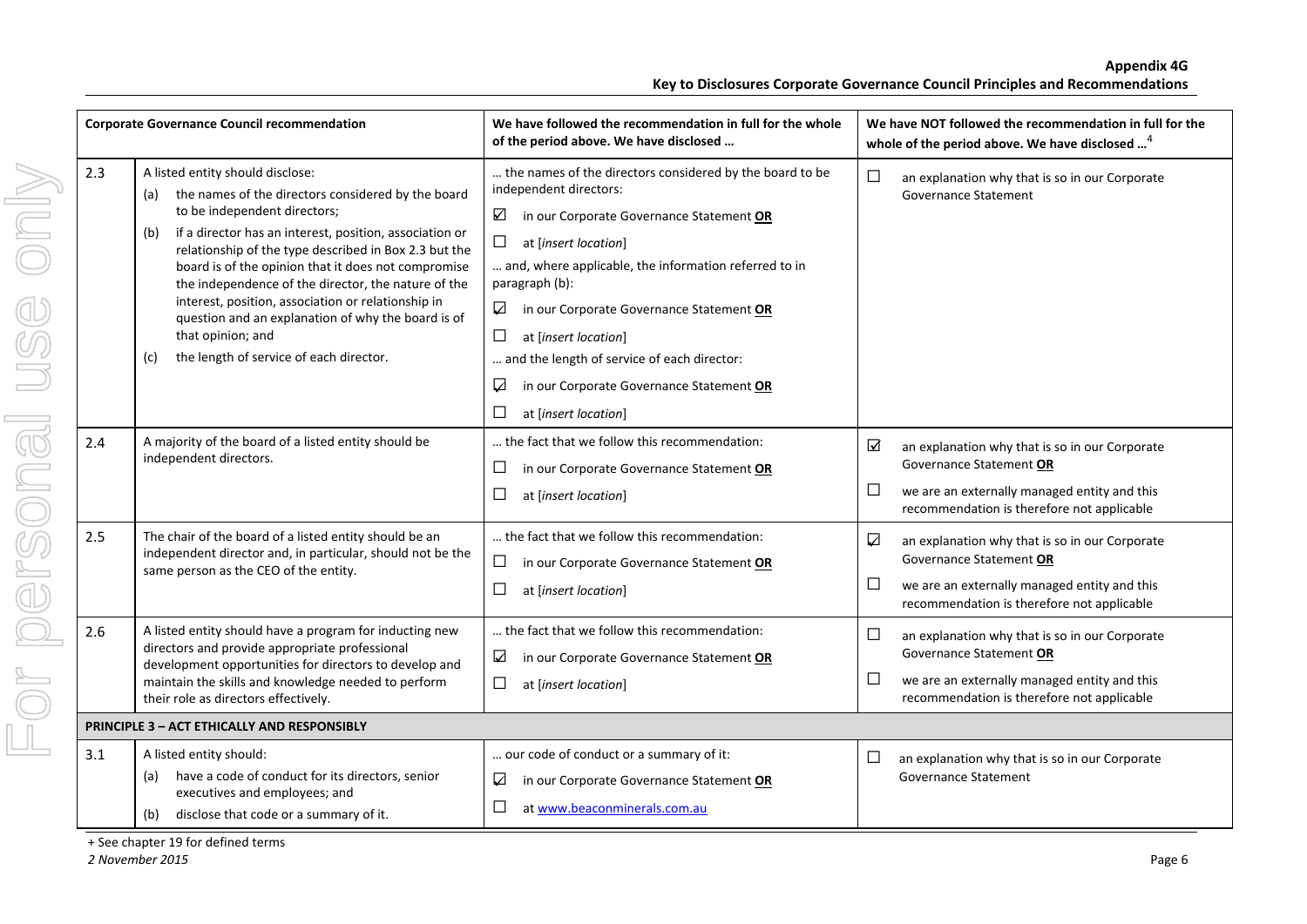|                   | <b>Corporate Governance Council recommendation</b>                                                                                                                                                                                                                                                                                                                                                                                                                                                                                   | We have followed the recommendation in full for the whole<br>of the period above. We have disclosed                                                                                                                                                                                                                                                                                                                                                              |                           | We have NOT followed the recommendation in full for the<br>whole of the period above. We have disclosed <sup>4</sup>                                                    |
|-------------------|--------------------------------------------------------------------------------------------------------------------------------------------------------------------------------------------------------------------------------------------------------------------------------------------------------------------------------------------------------------------------------------------------------------------------------------------------------------------------------------------------------------------------------------|------------------------------------------------------------------------------------------------------------------------------------------------------------------------------------------------------------------------------------------------------------------------------------------------------------------------------------------------------------------------------------------------------------------------------------------------------------------|---------------------------|-------------------------------------------------------------------------------------------------------------------------------------------------------------------------|
| 2.3<br>(b)<br>(c) | A listed entity should disclose:<br>the names of the directors considered by the board<br>to be independent directors;<br>if a director has an interest, position, association or<br>relationship of the type described in Box 2.3 but the<br>board is of the opinion that it does not compromise<br>the independence of the director, the nature of the<br>interest, position, association or relationship in<br>question and an explanation of why the board is of<br>that opinion; and<br>the length of service of each director. | the names of the directors considered by the board to be<br>independent directors:<br>☑<br>in our Corporate Governance Statement OR<br>$\Box$<br>at [insert location]<br>and, where applicable, the information referred to in<br>paragraph (b):<br>☑<br>in our Corporate Governance Statement OR<br>□<br>at [insert location]<br>and the length of service of each director:<br>☑<br>in our Corporate Governance Statement OR<br>$\Box$<br>at [insert location] | $\Box$                    | an explanation why that is so in our Corporate<br><b>Governance Statement</b>                                                                                           |
| 2.4               | A majority of the board of a listed entity should be<br>independent directors.                                                                                                                                                                                                                                                                                                                                                                                                                                                       | the fact that we follow this recommendation:<br>$\Box$<br>in our Corporate Governance Statement OR<br>$\Box$<br>at [insert location]                                                                                                                                                                                                                                                                                                                             | $\triangledown$<br>$\Box$ | an explanation why that is so in our Corporate<br>Governance Statement OR<br>we are an externally managed entity and this<br>recommendation is therefore not applicable |
| 2.5               | The chair of the board of a listed entity should be an<br>independent director and, in particular, should not be the<br>same person as the CEO of the entity.                                                                                                                                                                                                                                                                                                                                                                        | the fact that we follow this recommendation:<br>$\Box$<br>in our Corporate Governance Statement OR<br>$\Box$<br>at [insert location]                                                                                                                                                                                                                                                                                                                             | ☑<br>$\Box$               | an explanation why that is so in our Corporate<br>Governance Statement OR<br>we are an externally managed entity and this<br>recommendation is therefore not applicable |
| 2.6               | A listed entity should have a program for inducting new<br>directors and provide appropriate professional<br>development opportunities for directors to develop and<br>maintain the skills and knowledge needed to perform<br>their role as directors effectively.                                                                                                                                                                                                                                                                   | the fact that we follow this recommendation:<br>☑<br>in our Corporate Governance Statement OR<br>$\Box$<br>at [insert location]                                                                                                                                                                                                                                                                                                                                  | $\Box$<br>$\Box$          | an explanation why that is so in our Corporate<br>Governance Statement OR<br>we are an externally managed entity and this<br>recommendation is therefore not applicable |
|                   | <b>PRINCIPLE 3 - ACT ETHICALLY AND RESPONSIBLY</b>                                                                                                                                                                                                                                                                                                                                                                                                                                                                                   |                                                                                                                                                                                                                                                                                                                                                                                                                                                                  |                           |                                                                                                                                                                         |
| 3.1<br>(a)        | A listed entity should:<br>have a code of conduct for its directors, senior<br>executives and employees; and<br>(b) disclose that code or a summary of it.                                                                                                                                                                                                                                                                                                                                                                           | our code of conduct or a summary of it:<br>in our Corporate Governance Statement OR<br>☑<br>$\Box$<br>at www.beaconminerals.com.au                                                                                                                                                                                                                                                                                                                               | $\Box$                    | an explanation why that is so in our Corporate<br><b>Governance Statement</b>                                                                                           |

+ See chapter 19 for defined terms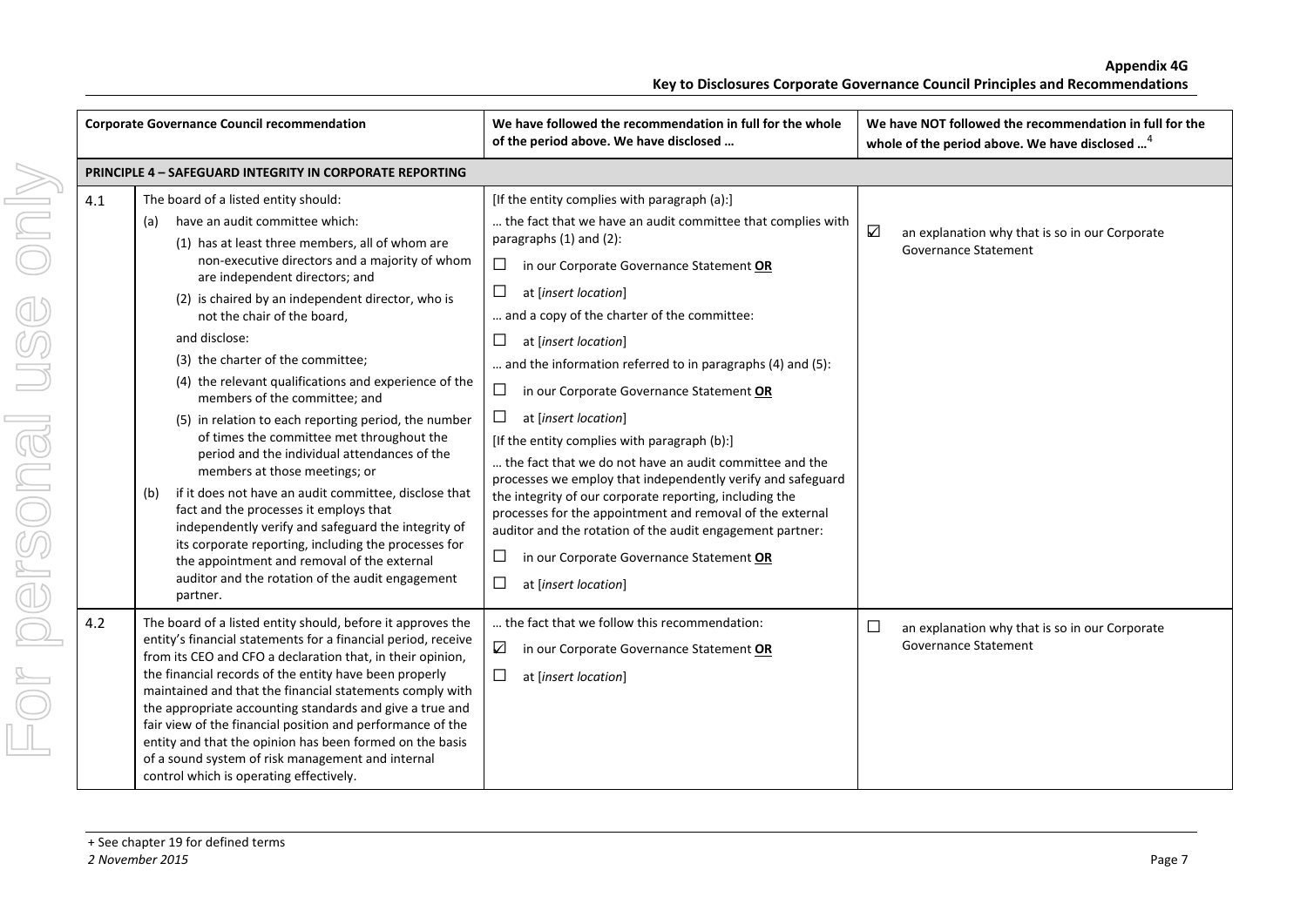|     | <b>Corporate Governance Council recommendation</b>                                                                                                                                                                                                                                                                                                                                                                                                                                                                                                                                                                                                                                                                                                                                                                                                                                                                                                                                     | We have followed the recommendation in full for the whole<br>of the period above. We have disclosed                                                                                                                                                                                                                                                                                                                                                                                                                                                                                                                                                                                                                                                                                                                                                                                                                          | We have NOT followed the recommendation in full for the<br>whole of the period above. We have disclosed <sup>4</sup> |
|-----|----------------------------------------------------------------------------------------------------------------------------------------------------------------------------------------------------------------------------------------------------------------------------------------------------------------------------------------------------------------------------------------------------------------------------------------------------------------------------------------------------------------------------------------------------------------------------------------------------------------------------------------------------------------------------------------------------------------------------------------------------------------------------------------------------------------------------------------------------------------------------------------------------------------------------------------------------------------------------------------|------------------------------------------------------------------------------------------------------------------------------------------------------------------------------------------------------------------------------------------------------------------------------------------------------------------------------------------------------------------------------------------------------------------------------------------------------------------------------------------------------------------------------------------------------------------------------------------------------------------------------------------------------------------------------------------------------------------------------------------------------------------------------------------------------------------------------------------------------------------------------------------------------------------------------|----------------------------------------------------------------------------------------------------------------------|
|     | PRINCIPLE 4 - SAFEGUARD INTEGRITY IN CORPORATE REPORTING                                                                                                                                                                                                                                                                                                                                                                                                                                                                                                                                                                                                                                                                                                                                                                                                                                                                                                                               |                                                                                                                                                                                                                                                                                                                                                                                                                                                                                                                                                                                                                                                                                                                                                                                                                                                                                                                              |                                                                                                                      |
| 4.1 | The board of a listed entity should:<br>have an audit committee which:<br>(a)<br>(1) has at least three members, all of whom are<br>non-executive directors and a majority of whom<br>are independent directors; and<br>(2) is chaired by an independent director, who is<br>not the chair of the board,<br>and disclose:<br>(3) the charter of the committee;<br>(4) the relevant qualifications and experience of the<br>members of the committee; and<br>(5) in relation to each reporting period, the number<br>of times the committee met throughout the<br>period and the individual attendances of the<br>members at those meetings; or<br>if it does not have an audit committee, disclose that<br>(b)<br>fact and the processes it employs that<br>independently verify and safeguard the integrity of<br>its corporate reporting, including the processes for<br>the appointment and removal of the external<br>auditor and the rotation of the audit engagement<br>partner. | [If the entity complies with paragraph (a):]<br>the fact that we have an audit committee that complies with<br>paragraphs (1) and (2):<br>$\Box$<br>in our Corporate Governance Statement OR<br>$\Box$<br>at [insert location]<br>and a copy of the charter of the committee:<br>$\Box$<br>at [insert location]<br>and the information referred to in paragraphs (4) and (5):<br>$\Box$<br>in our Corporate Governance Statement OR<br>$\Box$<br>at [insert location]<br>[If the entity complies with paragraph (b):]<br>the fact that we do not have an audit committee and the<br>processes we employ that independently verify and safeguard<br>the integrity of our corporate reporting, including the<br>processes for the appointment and removal of the external<br>auditor and the rotation of the audit engagement partner:<br>$\Box$<br>in our Corporate Governance Statement OR<br>$\Box$<br>at [insert location] | $\triangledown$<br>an explanation why that is so in our Corporate<br><b>Governance Statement</b>                     |
| 4.2 | The board of a listed entity should, before it approves the<br>entity's financial statements for a financial period, receive<br>from its CEO and CFO a declaration that, in their opinion,<br>the financial records of the entity have been properly<br>maintained and that the financial statements comply with<br>the appropriate accounting standards and give a true and<br>fair view of the financial position and performance of the<br>entity and that the opinion has been formed on the basis<br>of a sound system of risk management and internal<br>control which is operating effectively.                                                                                                                                                                                                                                                                                                                                                                                 | the fact that we follow this recommendation:<br>$\triangledown$<br>in our Corporate Governance Statement OR<br>$\Box$<br>at [insert location]                                                                                                                                                                                                                                                                                                                                                                                                                                                                                                                                                                                                                                                                                                                                                                                | $\Box$<br>an explanation why that is so in our Corporate<br>Governance Statement                                     |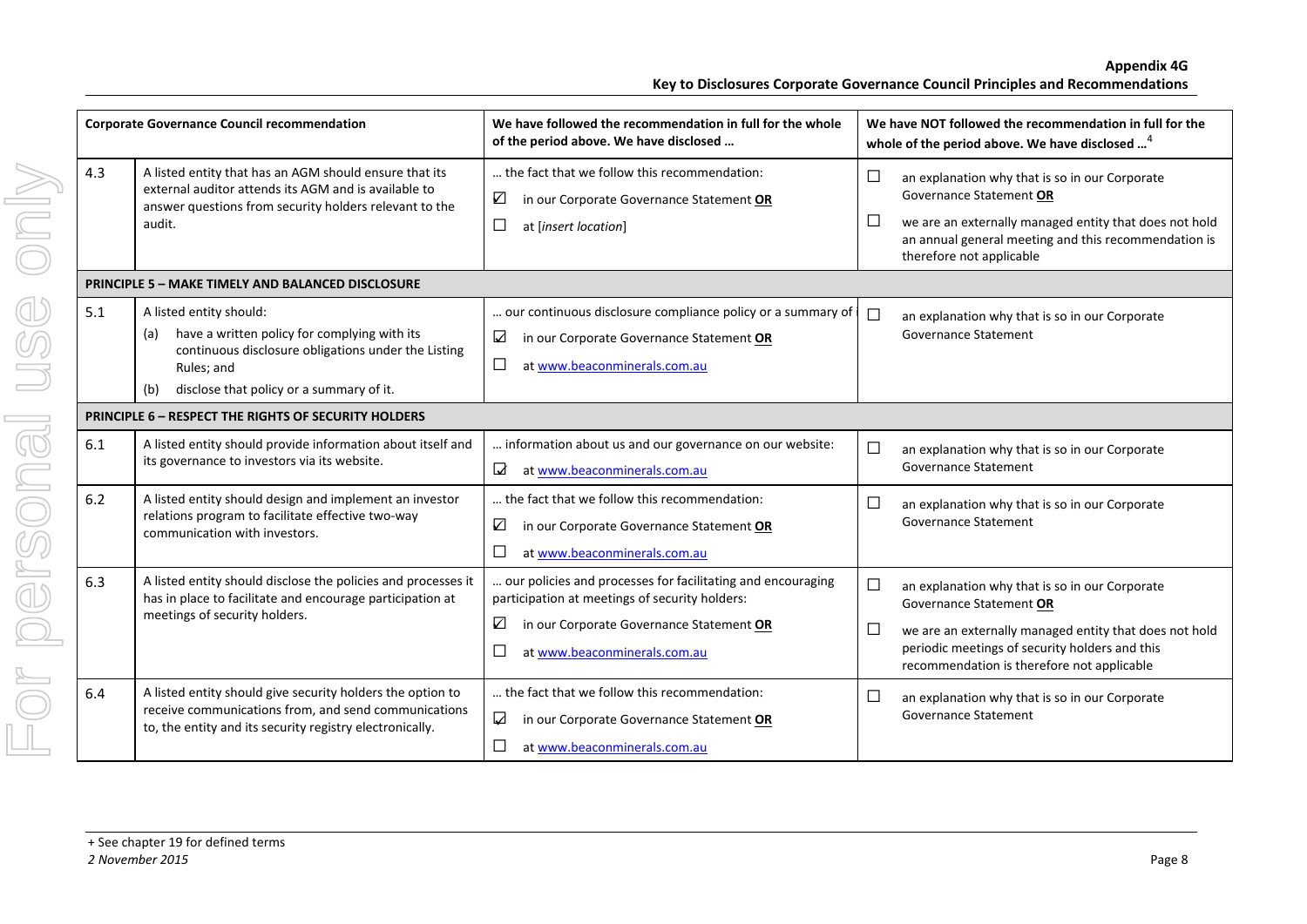|     | <b>Corporate Governance Council recommendation</b>                                                                                                                                                     | We have followed the recommendation in full for the whole<br>of the period above. We have disclosed                                                                                                      |                  | We have NOT followed the recommendation in full for the<br>whole of the period above. We have disclosed <sup>4</sup>                                                                                                                |
|-----|--------------------------------------------------------------------------------------------------------------------------------------------------------------------------------------------------------|----------------------------------------------------------------------------------------------------------------------------------------------------------------------------------------------------------|------------------|-------------------------------------------------------------------------------------------------------------------------------------------------------------------------------------------------------------------------------------|
| 4.3 | A listed entity that has an AGM should ensure that its<br>external auditor attends its AGM and is available to<br>answer questions from security holders relevant to the<br>audit.                     | the fact that we follow this recommendation:<br>$\triangledown$<br>in our Corporate Governance Statement OR<br>$\Box$<br>at [insert location]                                                            | $\Box$<br>$\Box$ | an explanation why that is so in our Corporate<br>Governance Statement OR<br>we are an externally managed entity that does not hold<br>an annual general meeting and this recommendation is<br>therefore not applicable             |
|     | <b>PRINCIPLE 5 - MAKE TIMELY AND BALANCED DISCLOSURE</b>                                                                                                                                               |                                                                                                                                                                                                          |                  |                                                                                                                                                                                                                                     |
| 5.1 | A listed entity should:<br>have a written policy for complying with its<br>(a)<br>continuous disclosure obligations under the Listing<br>Rules; and<br>disclose that policy or a summary of it.<br>(b) | our continuous disclosure compliance policy or a summary of<br>☑<br>in our Corporate Governance Statement OR<br>$\Box$<br>at www.beaconminerals.com.au                                                   | $\Box$           | an explanation why that is so in our Corporate<br><b>Governance Statement</b>                                                                                                                                                       |
|     | <b>PRINCIPLE 6 - RESPECT THE RIGHTS OF SECURITY HOLDERS</b>                                                                                                                                            |                                                                                                                                                                                                          |                  |                                                                                                                                                                                                                                     |
| 6.1 | A listed entity should provide information about itself and<br>its governance to investors via its website.                                                                                            | information about us and our governance on our website:<br>$\Delta$<br>at www.beaconminerals.com.au                                                                                                      | $\Box$           | an explanation why that is so in our Corporate<br><b>Governance Statement</b>                                                                                                                                                       |
| 6.2 | A listed entity should design and implement an investor<br>relations program to facilitate effective two-way<br>communication with investors.                                                          | the fact that we follow this recommendation:<br>☑<br>in our Corporate Governance Statement OR<br>$\Box$<br>at www.beaconminerals.com.au                                                                  | □                | an explanation why that is so in our Corporate<br><b>Governance Statement</b>                                                                                                                                                       |
| 6.3 | A listed entity should disclose the policies and processes it<br>has in place to facilitate and encourage participation at<br>meetings of security holders.                                            | our policies and processes for facilitating and encouraging<br>participation at meetings of security holders:<br>☑<br>in our Corporate Governance Statement OR<br>$\Box$<br>at www.beaconminerals.com.au | $\Box$<br>$\Box$ | an explanation why that is so in our Corporate<br>Governance Statement OR<br>we are an externally managed entity that does not hold<br>periodic meetings of security holders and this<br>recommendation is therefore not applicable |
| 6.4 | A listed entity should give security holders the option to<br>receive communications from, and send communications<br>to, the entity and its security registry electronically.                         | the fact that we follow this recommendation:<br>$\blacktriangledown$<br>in our Corporate Governance Statement OR<br>□<br>at www.beaconminerals.com.au                                                    | $\Box$           | an explanation why that is so in our Corporate<br><b>Governance Statement</b>                                                                                                                                                       |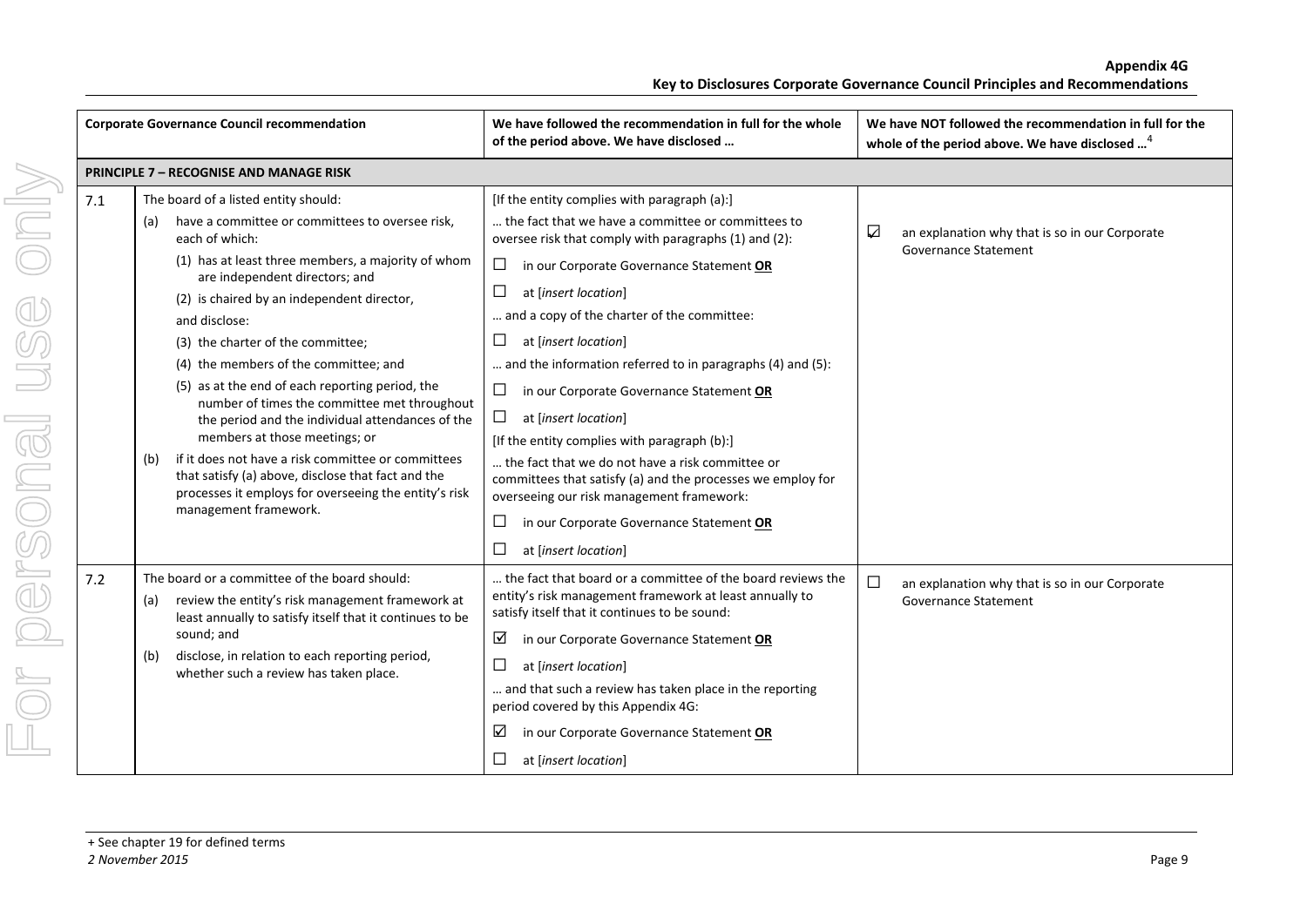|  |     | <b>Corporate Governance Council recommendation</b>                                                                                                                                                                                                                                                                                                                                                                                                                                                                                                                                                                                                                                  | We have followed the recommendation in full for the whole<br>of the period above. We have disclosed                                                                                                                                                                                                                                                                                                                                   | We have NOT followed the recommendation in full for the<br>whole of the period above. We have disclosed <sup>4</sup> |
|--|-----|-------------------------------------------------------------------------------------------------------------------------------------------------------------------------------------------------------------------------------------------------------------------------------------------------------------------------------------------------------------------------------------------------------------------------------------------------------------------------------------------------------------------------------------------------------------------------------------------------------------------------------------------------------------------------------------|---------------------------------------------------------------------------------------------------------------------------------------------------------------------------------------------------------------------------------------------------------------------------------------------------------------------------------------------------------------------------------------------------------------------------------------|----------------------------------------------------------------------------------------------------------------------|
|  |     | <b>PRINCIPLE 7 - RECOGNISE AND MANAGE RISK</b>                                                                                                                                                                                                                                                                                                                                                                                                                                                                                                                                                                                                                                      |                                                                                                                                                                                                                                                                                                                                                                                                                                       |                                                                                                                      |
|  | 7.1 | The board of a listed entity should:<br>[If the entity complies with paragraph (a):]<br>have a committee or committees to oversee risk,<br>the fact that we have a committee or committees to<br>(a)<br>each of which:<br>oversee risk that comply with paragraphs (1) and (2):<br>(1) has at least three members, a majority of whom<br>$\Box$<br>in our Corporate Governance Statement OR<br>are independent directors; and<br>□<br>at [insert location]<br>(2) is chaired by an independent director,<br>and a copy of the charter of the committee:<br>and disclose:<br>(3) the charter of the committee;<br>ப<br>at [insert location]<br>(4) the members of the committee; and | and the information referred to in paragraphs (4) and (5):                                                                                                                                                                                                                                                                                                                                                                            | ☑<br>an explanation why that is so in our Corporate<br><b>Governance Statement</b>                                   |
|  |     | (5) as at the end of each reporting period, the<br>number of times the committee met throughout<br>the period and the individual attendances of the<br>members at those meetings; or<br>if it does not have a risk committee or committees<br>(b)<br>that satisfy (a) above, disclose that fact and the<br>processes it employs for overseeing the entity's risk<br>management framework.                                                                                                                                                                                                                                                                                           | $\Box$<br>in our Corporate Governance Statement OR<br>$\Box$<br>at [insert location]<br>[If the entity complies with paragraph (b):]<br>the fact that we do not have a risk committee or<br>committees that satisfy (a) and the processes we employ for<br>overseeing our risk management framework:<br>$\Box$<br>in our Corporate Governance Statement OR<br>⊔<br>at [insert location]                                               |                                                                                                                      |
|  | 7.2 | The board or a committee of the board should:<br>review the entity's risk management framework at<br>(a)<br>least annually to satisfy itself that it continues to be<br>sound; and<br>disclose, in relation to each reporting period,<br>(b)<br>whether such a review has taken place.                                                                                                                                                                                                                                                                                                                                                                                              | the fact that board or a committee of the board reviews the<br>entity's risk management framework at least annually to<br>satisfy itself that it continues to be sound:<br>☑<br>in our Corporate Governance Statement OR<br>$\Box$<br>at [insert location]<br>and that such a review has taken place in the reporting<br>period covered by this Appendix 4G:<br>☑<br>in our Corporate Governance Statement OR<br>at [insert location] | $\Box$<br>an explanation why that is so in our Corporate<br><b>Governance Statement</b>                              |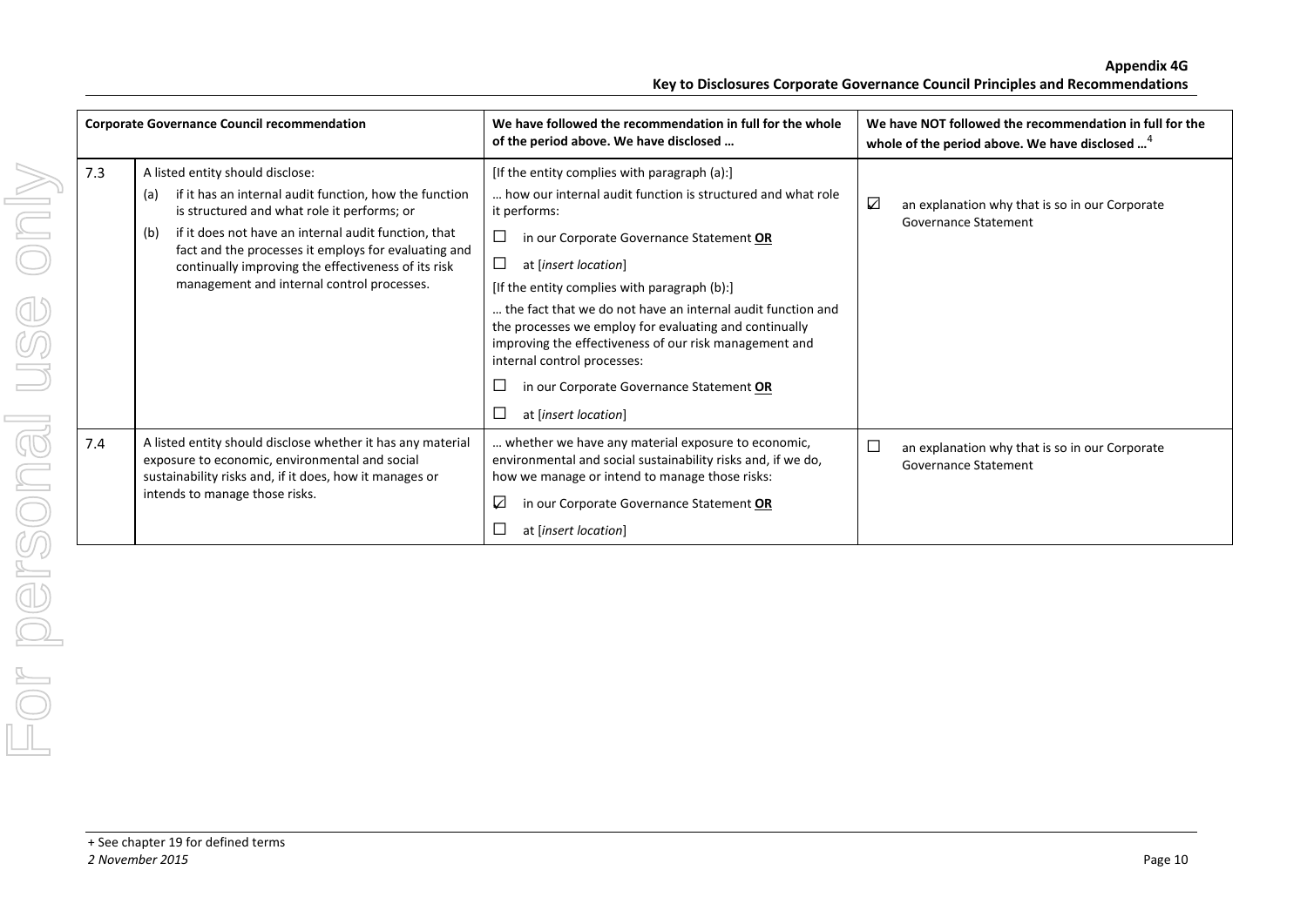|     | <b>Corporate Governance Council recommendation</b>                                                                                                                                                                                                                                                                                                                           | We have followed the recommendation in full for the whole<br>of the period above. We have disclosed                                                                                                                                                                                                                                                                                                                                                                                                                                                       | We have NOT followed the recommendation in full for the<br>whole of the period above. We have disclosed <sup>4</sup> |
|-----|------------------------------------------------------------------------------------------------------------------------------------------------------------------------------------------------------------------------------------------------------------------------------------------------------------------------------------------------------------------------------|-----------------------------------------------------------------------------------------------------------------------------------------------------------------------------------------------------------------------------------------------------------------------------------------------------------------------------------------------------------------------------------------------------------------------------------------------------------------------------------------------------------------------------------------------------------|----------------------------------------------------------------------------------------------------------------------|
| 7.3 | A listed entity should disclose:<br>if it has an internal audit function, how the function<br>(a)<br>is structured and what role it performs; or<br>if it does not have an internal audit function, that<br>(b)<br>fact and the processes it employs for evaluating and<br>continually improving the effectiveness of its risk<br>management and internal control processes. | [If the entity complies with paragraph (a):]<br>how our internal audit function is structured and what role<br>it performs:<br>in our Corporate Governance Statement OR<br>⊔<br>$\Box$<br>at [insert location]<br>[If the entity complies with paragraph (b):]<br>the fact that we do not have an internal audit function and<br>the processes we employ for evaluating and continually<br>improving the effectiveness of our risk management and<br>internal control processes:<br>in our Corporate Governance Statement OR<br>⊔<br>at [insert location] | ☑<br>an explanation why that is so in our Corporate<br>Governance Statement                                          |
| 7.4 | A listed entity should disclose whether it has any material<br>exposure to economic, environmental and social<br>sustainability risks and, if it does, how it manages or<br>intends to manage those risks.                                                                                                                                                                   | whether we have any material exposure to economic,<br>environmental and social sustainability risks and, if we do,<br>how we manage or intend to manage those risks:<br>☑<br>in our Corporate Governance Statement OR<br>at [insert location]                                                                                                                                                                                                                                                                                                             | $\Box$<br>an explanation why that is so in our Corporate<br><b>Governance Statement</b>                              |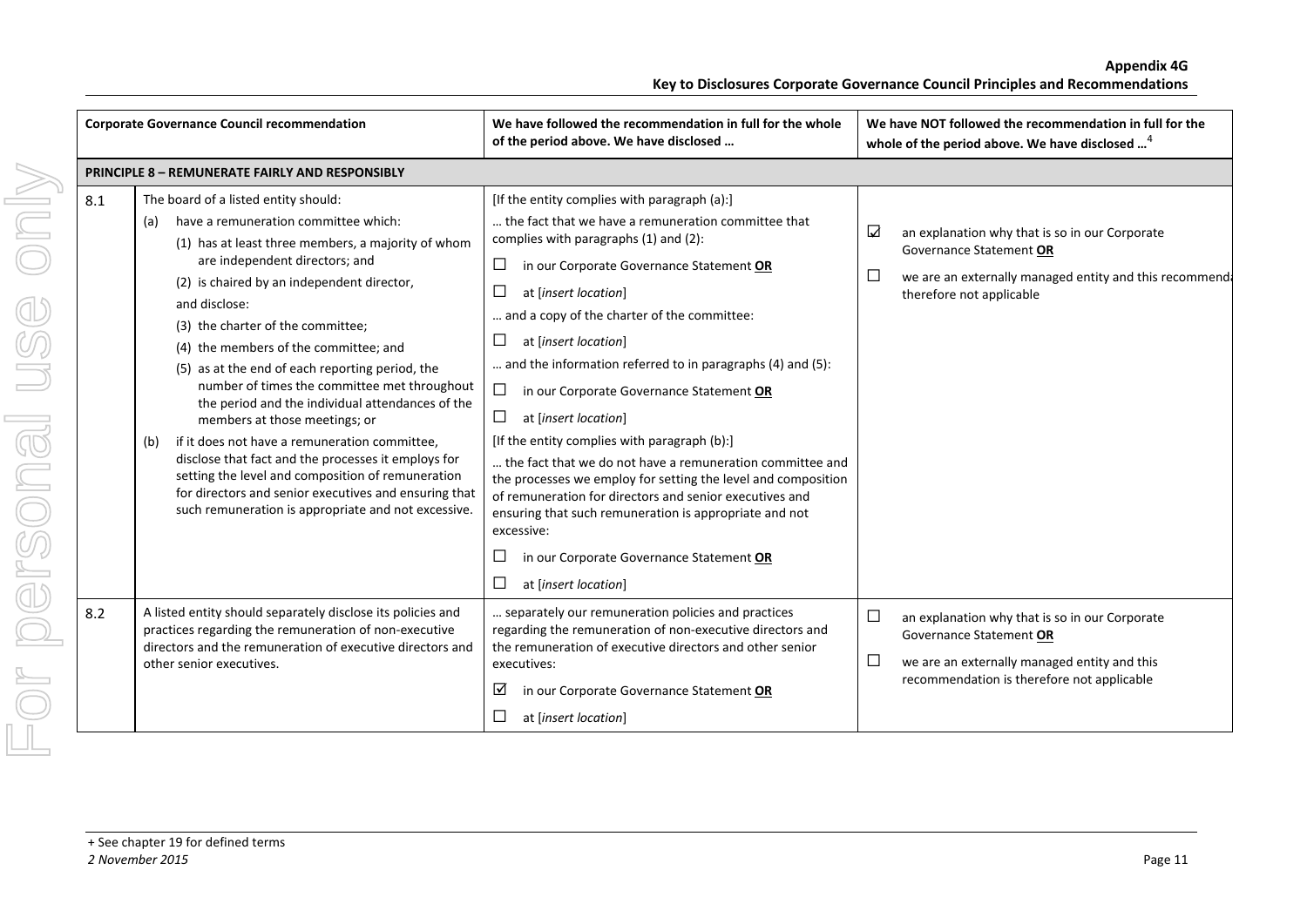|     | <b>Corporate Governance Council recommendation</b>                                                                                                                                                                                                                                                                                                                                                                                                                                                                                                                                                                                                                                                                                                                                                   | We have followed the recommendation in full for the whole<br>of the period above. We have disclosed                                                                                                                                                                                                                                                                                                                                                                                                                                                                                                                                                                                                                                                                                                                                                                        | We have NOT followed the recommendation in full for the<br>whole of the period above. We have disclosed <sup>4</sup>                                                                        |
|-----|------------------------------------------------------------------------------------------------------------------------------------------------------------------------------------------------------------------------------------------------------------------------------------------------------------------------------------------------------------------------------------------------------------------------------------------------------------------------------------------------------------------------------------------------------------------------------------------------------------------------------------------------------------------------------------------------------------------------------------------------------------------------------------------------------|----------------------------------------------------------------------------------------------------------------------------------------------------------------------------------------------------------------------------------------------------------------------------------------------------------------------------------------------------------------------------------------------------------------------------------------------------------------------------------------------------------------------------------------------------------------------------------------------------------------------------------------------------------------------------------------------------------------------------------------------------------------------------------------------------------------------------------------------------------------------------|---------------------------------------------------------------------------------------------------------------------------------------------------------------------------------------------|
|     | <b>PRINCIPLE 8 - REMUNERATE FAIRLY AND RESPONSIBLY</b>                                                                                                                                                                                                                                                                                                                                                                                                                                                                                                                                                                                                                                                                                                                                               |                                                                                                                                                                                                                                                                                                                                                                                                                                                                                                                                                                                                                                                                                                                                                                                                                                                                            |                                                                                                                                                                                             |
| 8.1 | The board of a listed entity should:<br>have a remuneration committee which:<br>(a)<br>(1) has at least three members, a majority of whom<br>are independent directors; and<br>(2) is chaired by an independent director,<br>and disclose:<br>(3) the charter of the committee;<br>(4) the members of the committee; and<br>(5) as at the end of each reporting period, the<br>number of times the committee met throughout<br>the period and the individual attendances of the<br>members at those meetings; or<br>if it does not have a remuneration committee,<br>(b)<br>disclose that fact and the processes it employs for<br>setting the level and composition of remuneration<br>for directors and senior executives and ensuring that<br>such remuneration is appropriate and not excessive. | [If the entity complies with paragraph (a):]<br>the fact that we have a remuneration committee that<br>complies with paragraphs (1) and (2):<br>$\Box$<br>in our Corporate Governance Statement OR<br>⊔<br>at [insert location]<br>and a copy of the charter of the committee:<br>$\Box$<br>at [insert location]<br>and the information referred to in paragraphs (4) and (5):<br>$\Box$<br>in our Corporate Governance Statement OR<br>$\Box$<br>at [insert location]<br>[If the entity complies with paragraph (b):]<br>the fact that we do not have a remuneration committee and<br>the processes we employ for setting the level and composition<br>of remuneration for directors and senior executives and<br>ensuring that such remuneration is appropriate and not<br>excessive:<br>$\Box$<br>in our Corporate Governance Statement OR<br>□<br>at [insert location] | ☑<br>an explanation why that is so in our Corporate<br>Governance Statement OR<br>$\Box$<br>we are an externally managed entity and this recommend<br>therefore not applicable              |
| 8.2 | A listed entity should separately disclose its policies and<br>practices regarding the remuneration of non-executive<br>directors and the remuneration of executive directors and<br>other senior executives.                                                                                                                                                                                                                                                                                                                                                                                                                                                                                                                                                                                        | separately our remuneration policies and practices<br>regarding the remuneration of non-executive directors and<br>the remuneration of executive directors and other senior<br>executives:<br>⊻<br>in our Corporate Governance Statement OR<br>$\Box$<br>at [insert location]                                                                                                                                                                                                                                                                                                                                                                                                                                                                                                                                                                                              | $\Box$<br>an explanation why that is so in our Corporate<br>Governance Statement OR<br>$\Box$<br>we are an externally managed entity and this<br>recommendation is therefore not applicable |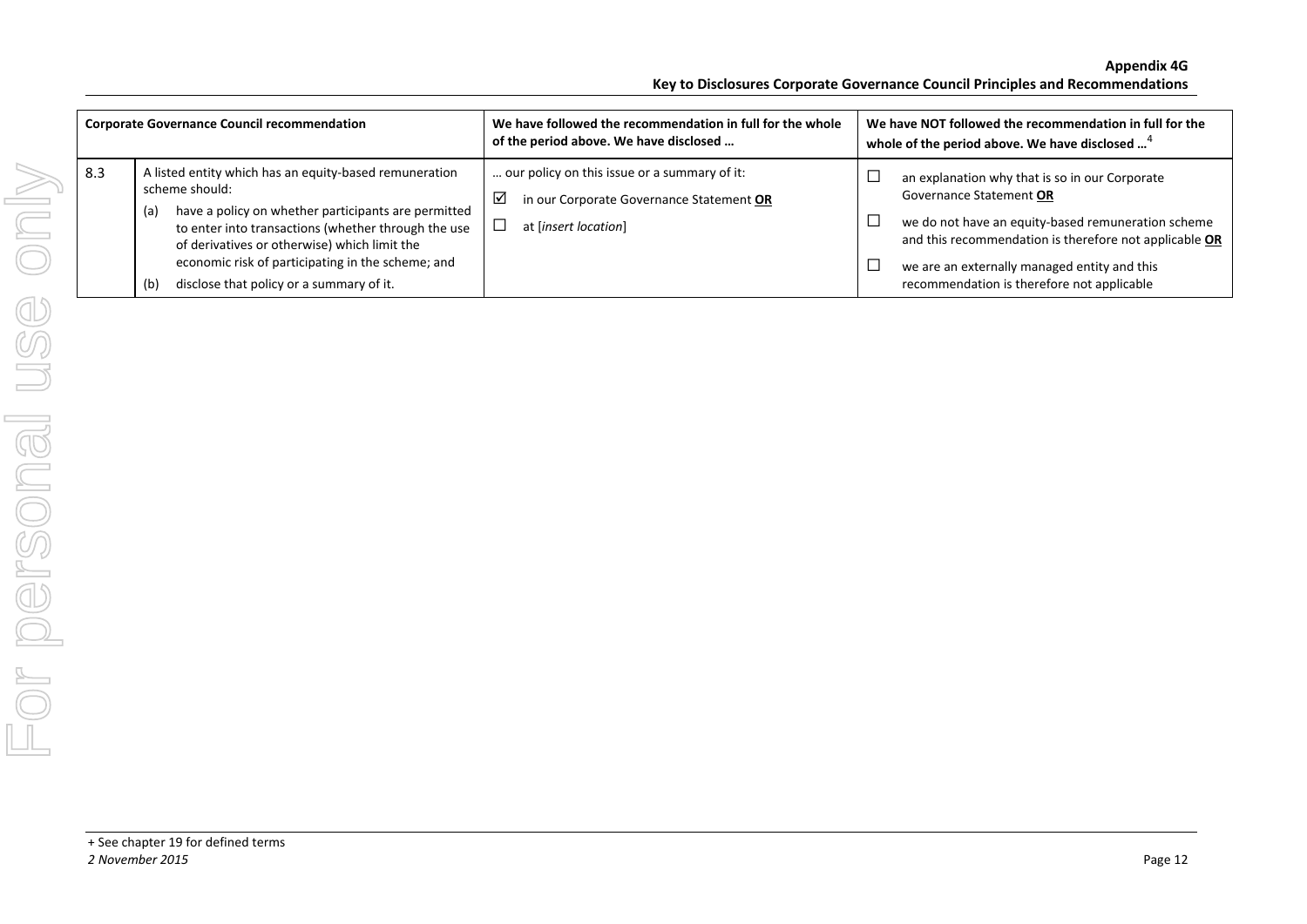| <b>Corporate Governance Council recommendation</b> |                                                                                                                                                                                                                                                                                                                                                       | We have followed the recommendation in full for the whole<br>of the period above. We have disclosed                   | We have NOT followed the recommendation in full for the<br>whole of the period above. We have disclosed <sup>4</sup>                                                                                                                                                                         |
|----------------------------------------------------|-------------------------------------------------------------------------------------------------------------------------------------------------------------------------------------------------------------------------------------------------------------------------------------------------------------------------------------------------------|-----------------------------------------------------------------------------------------------------------------------|----------------------------------------------------------------------------------------------------------------------------------------------------------------------------------------------------------------------------------------------------------------------------------------------|
| 8.3                                                | A listed entity which has an equity-based remuneration<br>scheme should:<br>have a policy on whether participants are permitted<br>(a)<br>to enter into transactions (whether through the use<br>of derivatives or otherwise) which limit the<br>economic risk of participating in the scheme; and<br>disclose that policy or a summary of it.<br>(b) | our policy on this issue or a summary of it:<br>☑<br>in our Corporate Governance Statement OR<br>at [insert location] | an explanation why that is so in our Corporate<br>ᄂ<br>Governance Statement OR<br>we do not have an equity-based remuneration scheme<br>and this recommendation is therefore not applicable OR<br>we are an externally managed entity and this<br>recommendation is therefore not applicable |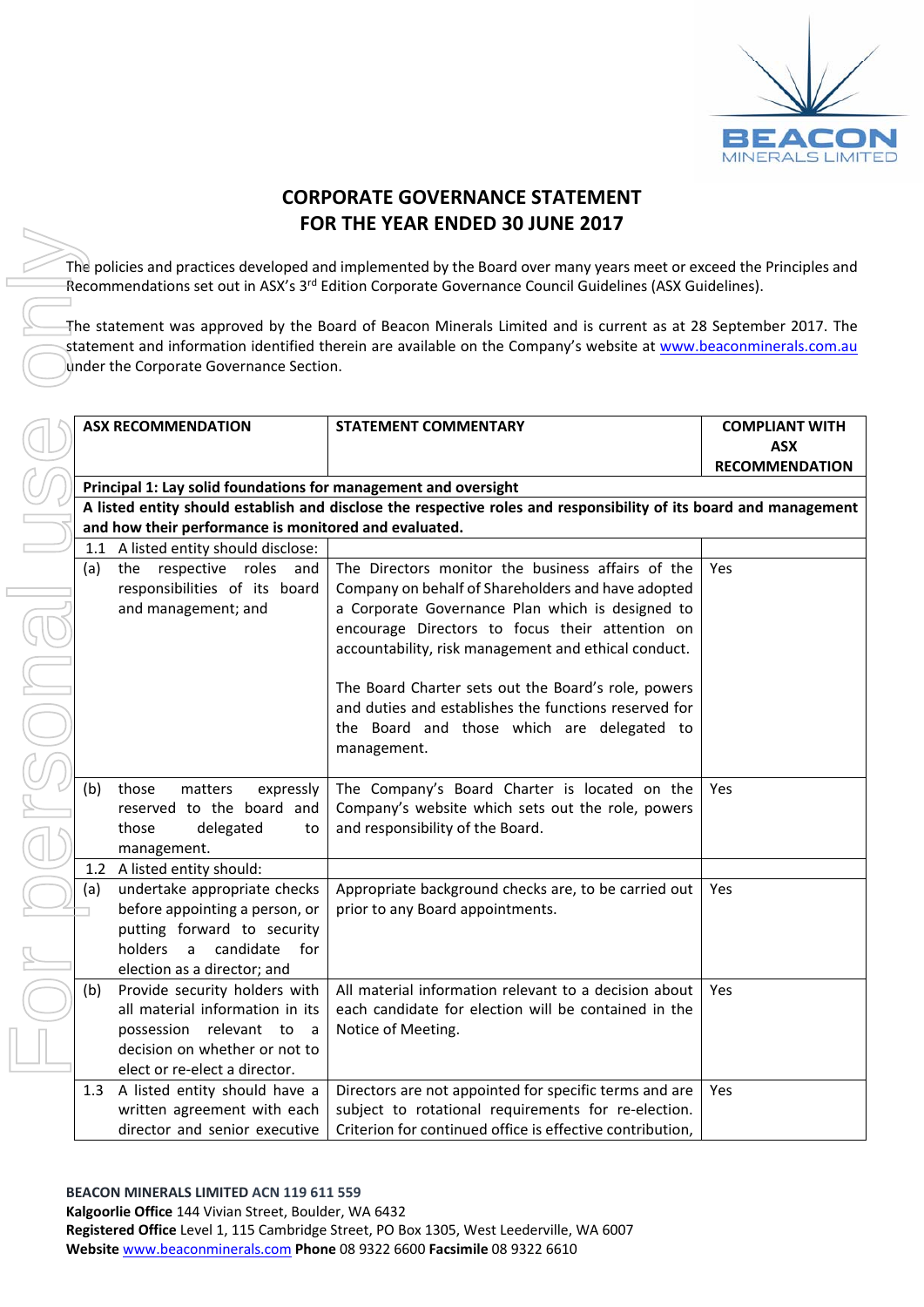

## **CORPORATE GOVERNANCE STATEMENT FOR THE YEAR ENDED 30 JUNE 2017**

The policies and practices developed and implemented by the Board over many years meet or exceed the Principles and Recommendations set out in ASX's 3<sup>rd</sup> Edition Corporate Governance Council Guidelines (ASX Guidelines).

The statement was approved by the Board of Beacon Minerals Limited and is current as at 28 September 2017. The statement and information identified therein are available on the Company's website at www.beaconminerals.com.au under the Corporate Governance Section.

|     | <b>ASX RECOMMENDATION</b>                                        | <b>STATEMENT COMMENTARY</b>                                                                                       | <b>COMPLIANT WITH</b> |
|-----|------------------------------------------------------------------|-------------------------------------------------------------------------------------------------------------------|-----------------------|
|     |                                                                  |                                                                                                                   | <b>ASX</b>            |
|     |                                                                  |                                                                                                                   | <b>RECOMMENDATION</b> |
|     | Principal 1: Lay solid foundations for management and oversight  |                                                                                                                   |                       |
|     |                                                                  | A listed entity should establish and disclose the respective roles and responsibility of its board and management |                       |
|     | and how their performance is monitored and evaluated.            |                                                                                                                   |                       |
|     | 1.1 A listed entity should disclose:                             |                                                                                                                   |                       |
| (a) | the<br>respective<br>roles<br>and                                | The Directors monitor the business affairs of the                                                                 | Yes                   |
|     | responsibilities of its board                                    | Company on behalf of Shareholders and have adopted                                                                |                       |
|     | and management; and                                              | a Corporate Governance Plan which is designed to                                                                  |                       |
|     |                                                                  | encourage Directors to focus their attention on                                                                   |                       |
|     |                                                                  | accountability, risk management and ethical conduct.                                                              |                       |
|     |                                                                  |                                                                                                                   |                       |
|     |                                                                  | The Board Charter sets out the Board's role, powers                                                               |                       |
|     |                                                                  | and duties and establishes the functions reserved for                                                             |                       |
|     |                                                                  | the Board and those which are delegated to                                                                        |                       |
|     |                                                                  | management.                                                                                                       |                       |
|     |                                                                  |                                                                                                                   |                       |
| (b) | those<br>matters<br>expressly                                    | The Company's Board Charter is located on the                                                                     | Yes                   |
|     | reserved to the board and                                        | Company's website which sets out the role, powers                                                                 |                       |
|     | delegated<br>those<br>to                                         | and responsibility of the Board.                                                                                  |                       |
|     | management.                                                      |                                                                                                                   |                       |
|     | 1.2 A listed entity should:                                      |                                                                                                                   |                       |
| (a) | undertake appropriate checks                                     | Appropriate background checks are, to be carried out                                                              | <b>Yes</b>            |
|     | before appointing a person, or                                   | prior to any Board appointments.                                                                                  |                       |
|     | putting forward to security                                      |                                                                                                                   |                       |
|     | holders<br>a candidate<br>for                                    |                                                                                                                   |                       |
|     | election as a director; and                                      | All material information relevant to a decision about                                                             |                       |
| (b) | Provide security holders with<br>all material information in its | each candidate for election will be contained in the                                                              | Yes                   |
|     |                                                                  |                                                                                                                   |                       |
|     | possession relevant to<br>a a<br>decision on whether or not to   | Notice of Meeting.                                                                                                |                       |
|     | elect or re-elect a director.                                    |                                                                                                                   |                       |
|     | 1.3 A listed entity should have a                                | Directors are not appointed for specific terms and are                                                            | Yes                   |
|     | written agreement with each                                      | subject to rotational requirements for re-election.                                                               |                       |
|     | director and senior executive                                    | Criterion for continued office is effective contribution,                                                         |                       |
|     |                                                                  |                                                                                                                   |                       |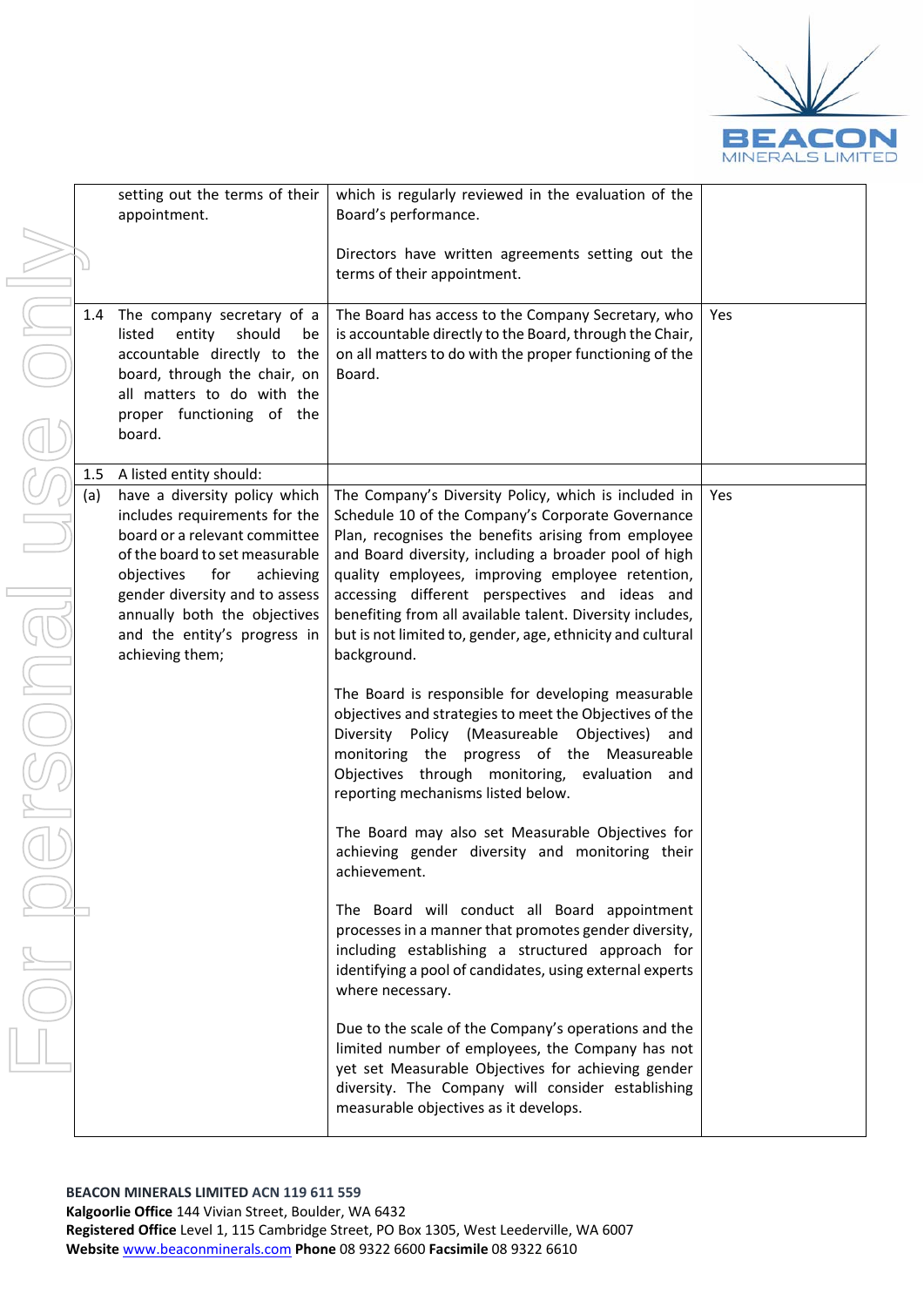

|                | setting out the terms of their<br>appointment.                                                                                                                                                                                                                                                                      | which is regularly reviewed in the evaluation of the<br>Board's performance.                                                                                                                                                                                                                                                                                                                                                                                                                                                                                                                                                                                                                                                                                                                                                                                                                                                                                                                                                                                                                                                                                                                                                                                                                                                                                                                                            |     |
|----------------|---------------------------------------------------------------------------------------------------------------------------------------------------------------------------------------------------------------------------------------------------------------------------------------------------------------------|-------------------------------------------------------------------------------------------------------------------------------------------------------------------------------------------------------------------------------------------------------------------------------------------------------------------------------------------------------------------------------------------------------------------------------------------------------------------------------------------------------------------------------------------------------------------------------------------------------------------------------------------------------------------------------------------------------------------------------------------------------------------------------------------------------------------------------------------------------------------------------------------------------------------------------------------------------------------------------------------------------------------------------------------------------------------------------------------------------------------------------------------------------------------------------------------------------------------------------------------------------------------------------------------------------------------------------------------------------------------------------------------------------------------------|-----|
|                |                                                                                                                                                                                                                                                                                                                     | Directors have written agreements setting out the<br>terms of their appointment.                                                                                                                                                                                                                                                                                                                                                                                                                                                                                                                                                                                                                                                                                                                                                                                                                                                                                                                                                                                                                                                                                                                                                                                                                                                                                                                                        |     |
| 1.4            | The company secretary of a<br>listed<br>should<br>entity<br>be<br>accountable directly to the<br>board, through the chair, on<br>all matters to do with the<br>proper functioning of the<br>board.                                                                                                                  | The Board has access to the Company Secretary, who<br>is accountable directly to the Board, through the Chair,<br>on all matters to do with the proper functioning of the<br>Board.                                                                                                                                                                                                                                                                                                                                                                                                                                                                                                                                                                                                                                                                                                                                                                                                                                                                                                                                                                                                                                                                                                                                                                                                                                     | Yes |
| $1.5\,$<br>(a) | A listed entity should:<br>have a diversity policy which<br>includes requirements for the<br>board or a relevant committee<br>of the board to set measurable<br>objectives<br>for<br>achieving<br>gender diversity and to assess<br>annually both the objectives<br>and the entity's progress in<br>achieving them; | The Company's Diversity Policy, which is included in<br>Schedule 10 of the Company's Corporate Governance<br>Plan, recognises the benefits arising from employee<br>and Board diversity, including a broader pool of high<br>quality employees, improving employee retention,<br>accessing different perspectives and ideas and<br>benefiting from all available talent. Diversity includes,<br>but is not limited to, gender, age, ethnicity and cultural<br>background.<br>The Board is responsible for developing measurable<br>objectives and strategies to meet the Objectives of the<br>Diversity Policy (Measureable Objectives)<br>and<br>monitoring the progress of the Measureable<br>Objectives through monitoring, evaluation and<br>reporting mechanisms listed below.<br>The Board may also set Measurable Objectives for<br>achieving gender diversity and monitoring their<br>achievement.<br>The Board will conduct all Board appointment<br>processes in a manner that promotes gender diversity,<br>including establishing a structured approach for<br>identifying a pool of candidates, using external experts<br>where necessary.<br>Due to the scale of the Company's operations and the<br>limited number of employees, the Company has not<br>yet set Measurable Objectives for achieving gender<br>diversity. The Company will consider establishing<br>measurable objectives as it develops. | Yes |
|                |                                                                                                                                                                                                                                                                                                                     |                                                                                                                                                                                                                                                                                                                                                                                                                                                                                                                                                                                                                                                                                                                                                                                                                                                                                                                                                                                                                                                                                                                                                                                                                                                                                                                                                                                                                         |     |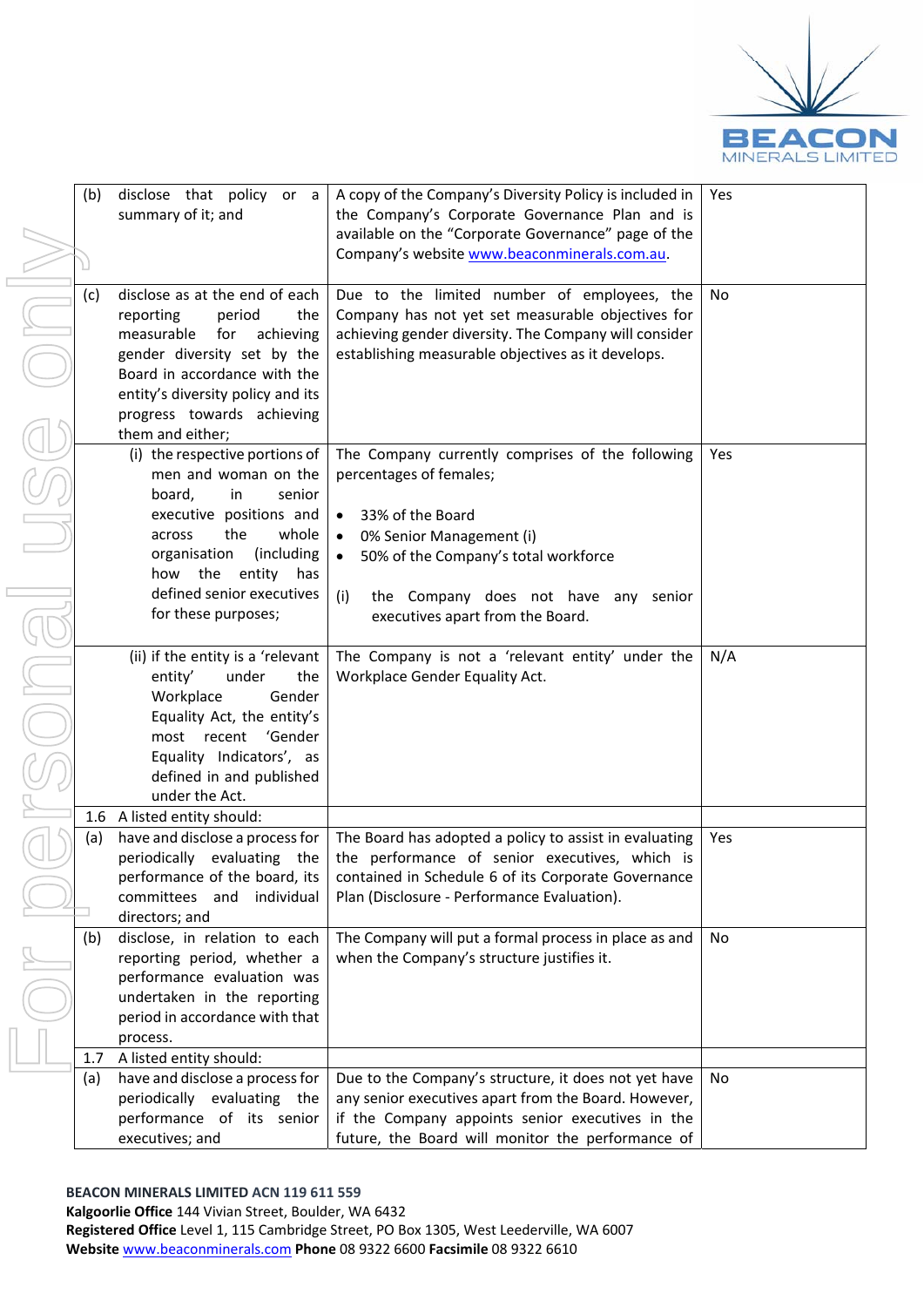

| (b) | disclose that policy or a                            | A copy of the Company's Diversity Policy is included in | Yes |
|-----|------------------------------------------------------|---------------------------------------------------------|-----|
|     | summary of it; and                                   | the Company's Corporate Governance Plan and is          |     |
|     |                                                      | available on the "Corporate Governance" page of the     |     |
|     |                                                      | Company's website www.beaconminerals.com.au.            |     |
|     |                                                      |                                                         |     |
| (c) | disclose as at the end of each                       | Due to the limited number of employees, the             | No. |
|     | reporting<br>period<br>the                           | Company has not yet set measurable objectives for       |     |
|     | measurable<br>for<br>achieving                       | achieving gender diversity. The Company will consider   |     |
|     | gender diversity set by the                          | establishing measurable objectives as it develops.      |     |
|     | Board in accordance with the                         |                                                         |     |
|     | entity's diversity policy and its                    |                                                         |     |
|     | progress towards achieving                           |                                                         |     |
|     | them and either;                                     |                                                         |     |
|     | (i) the respective portions of                       | The Company currently comprises of the following        | Yes |
|     | men and woman on the                                 | percentages of females;                                 |     |
|     | board,<br>in<br>senior                               |                                                         |     |
|     | executive positions and                              | 33% of the Board<br>$\bullet$                           |     |
|     | the<br>whole<br>across                               | 0% Senior Management (i)                                |     |
|     | organisation<br>(including                           | 50% of the Company's total workforce<br>$\bullet$       |     |
|     | the entity<br>how<br>has                             |                                                         |     |
|     | defined senior executives                            | the Company does not have any senior<br>(i)             |     |
|     | for these purposes;                                  | executives apart from the Board.                        |     |
|     |                                                      |                                                         |     |
|     | (ii) if the entity is a 'relevant                    | The Company is not a 'relevant entity' under the        | N/A |
|     | entity'<br>under<br>the                              | Workplace Gender Equality Act.                          |     |
|     | Workplace<br>Gender                                  |                                                         |     |
|     |                                                      |                                                         |     |
|     | Equality Act, the entity's<br>most recent<br>'Gender |                                                         |     |
|     |                                                      |                                                         |     |
|     | Equality Indicators', as                             |                                                         |     |
|     | defined in and published<br>under the Act.           |                                                         |     |
|     |                                                      |                                                         |     |
|     | 1.6 A listed entity should:                          |                                                         |     |
| (a) | have and disclose a process for                      | The Board has adopted a policy to assist in evaluating  | Yes |
|     | periodically evaluating the                          | the performance of senior executives, which is          |     |
|     | performance of the board, its                        | contained in Schedule 6 of its Corporate Governance     |     |
|     | committees and individual                            | Plan (Disclosure - Performance Evaluation).             |     |
|     | directors; and                                       |                                                         |     |
| (b) | disclose, in relation to each                        | The Company will put a formal process in place as and   | No  |
|     | reporting period, whether a                          | when the Company's structure justifies it.              |     |
|     | performance evaluation was                           |                                                         |     |
|     | undertaken in the reporting                          |                                                         |     |
|     | period in accordance with that                       |                                                         |     |
|     | process.                                             |                                                         |     |
| 1.7 | A listed entity should:                              |                                                         |     |
| (a) | have and disclose a process for                      | Due to the Company's structure, it does not yet have    | No  |
|     | periodically evaluating the                          | any senior executives apart from the Board. However,    |     |
|     | performance of its senior                            | if the Company appoints senior executives in the        |     |
|     | executives; and                                      | future, the Board will monitor the performance of       |     |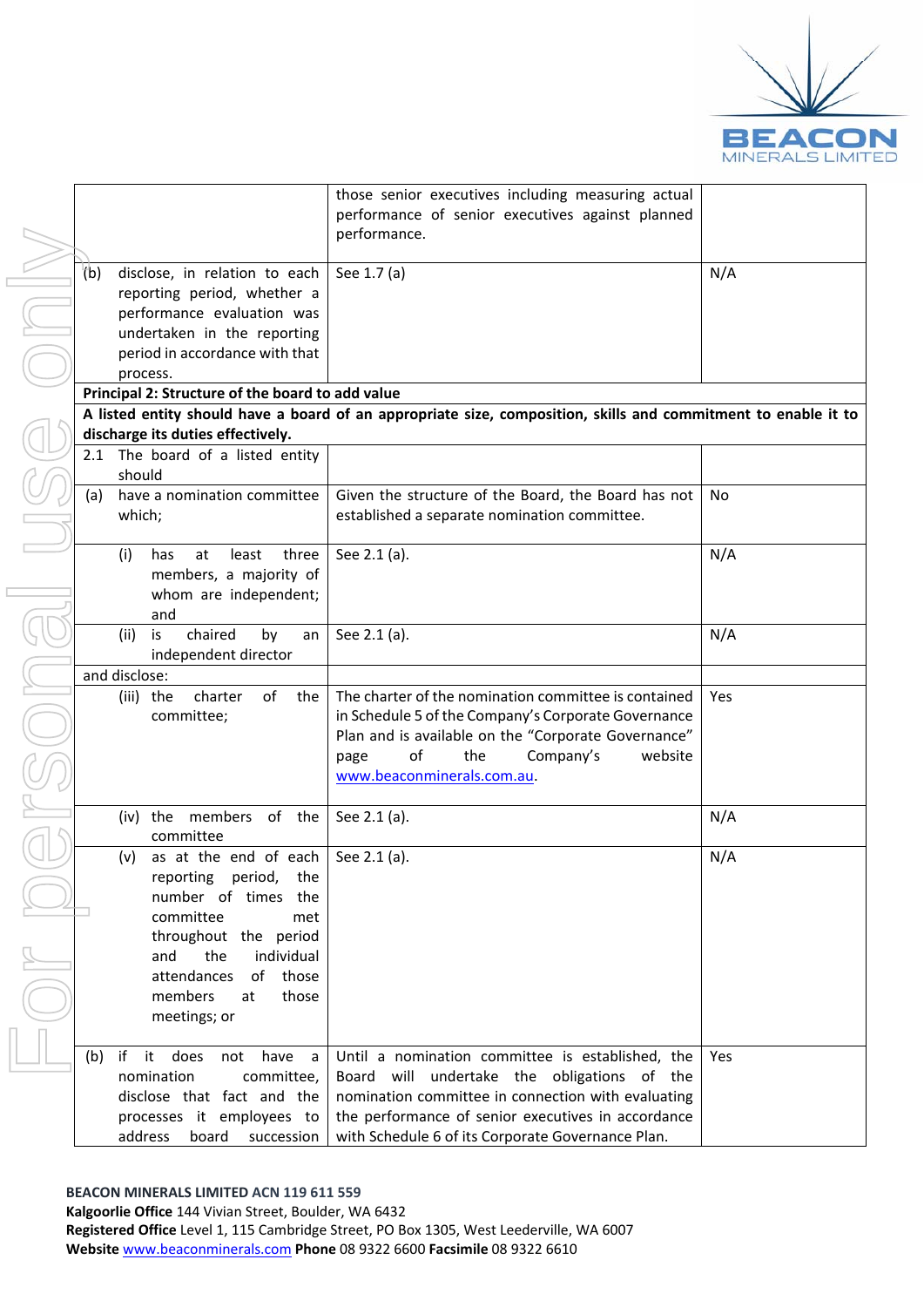

|     |                                                  | those senior executives including measuring actual                                                             |            |
|-----|--------------------------------------------------|----------------------------------------------------------------------------------------------------------------|------------|
|     |                                                  | performance of senior executives against planned                                                               |            |
|     |                                                  | performance.                                                                                                   |            |
|     |                                                  |                                                                                                                |            |
| (b) | disclose, in relation to each                    | See 1.7 (a)                                                                                                    | N/A        |
|     | reporting period, whether a                      |                                                                                                                |            |
|     | performance evaluation was                       |                                                                                                                |            |
|     | undertaken in the reporting                      |                                                                                                                |            |
|     | period in accordance with that                   |                                                                                                                |            |
|     | process.                                         |                                                                                                                |            |
|     | Principal 2: Structure of the board to add value |                                                                                                                |            |
|     |                                                  | A listed entity should have a board of an appropriate size, composition, skills and commitment to enable it to |            |
|     | discharge its duties effectively.                |                                                                                                                |            |
|     | 2.1 The board of a listed entity                 |                                                                                                                |            |
|     | should                                           |                                                                                                                |            |
| (a) | have a nomination committee                      | Given the structure of the Board, the Board has not                                                            | No.        |
|     | which;                                           | established a separate nomination committee.                                                                   |            |
|     |                                                  |                                                                                                                |            |
|     | (i)<br>least<br>three<br>has<br>at               | See 2.1 (a).                                                                                                   | N/A        |
|     | members, a majority of                           |                                                                                                                |            |
|     | whom are independent;                            |                                                                                                                |            |
|     | and                                              |                                                                                                                |            |
|     | chaired<br>(ii)<br>is<br>by<br>an                | See 2.1 (a).                                                                                                   | N/A        |
|     |                                                  |                                                                                                                |            |
|     | independent director<br>and disclose:            |                                                                                                                |            |
|     |                                                  |                                                                                                                |            |
|     | charter<br>of<br>the<br>(iii) the                | The charter of the nomination committee is contained                                                           | Yes        |
|     | committee;                                       | in Schedule 5 of the Company's Corporate Governance                                                            |            |
|     |                                                  | Plan and is available on the "Corporate Governance"                                                            |            |
|     |                                                  | of<br>the<br>Company's<br>website<br>page                                                                      |            |
|     |                                                  | www.beaconminerals.com.au.                                                                                     |            |
|     |                                                  |                                                                                                                |            |
|     | (iv) the members<br>of the                       | See 2.1 (a).                                                                                                   | N/A        |
|     | committee                                        |                                                                                                                |            |
|     | as at the end of each<br>(v)                     | See 2.1 (a).                                                                                                   | N/A        |
|     | reporting period, the                            |                                                                                                                |            |
|     | number of times<br>the                           |                                                                                                                |            |
|     | committee<br>met                                 |                                                                                                                |            |
|     | throughout the period                            |                                                                                                                |            |
|     | individual<br>and<br>the                         |                                                                                                                |            |
|     | those<br>attendances<br>of                       |                                                                                                                |            |
|     | members<br>those<br>at                           |                                                                                                                |            |
|     | meetings; or                                     |                                                                                                                |            |
|     |                                                  |                                                                                                                |            |
| (b) | if<br>it does<br>have<br>not<br>a                | Until a nomination committee is established, the                                                               | <b>Yes</b> |
|     | nomination<br>committee,                         | Board will undertake the obligations of the                                                                    |            |
|     | disclose that fact and the                       | nomination committee in connection with evaluating                                                             |            |
|     | processes it employees to                        | the performance of senior executives in accordance                                                             |            |
|     | address<br>board succession                      | with Schedule 6 of its Corporate Governance Plan.                                                              |            |

**BEACON MINERALS LIMITED ACN 119 611 559**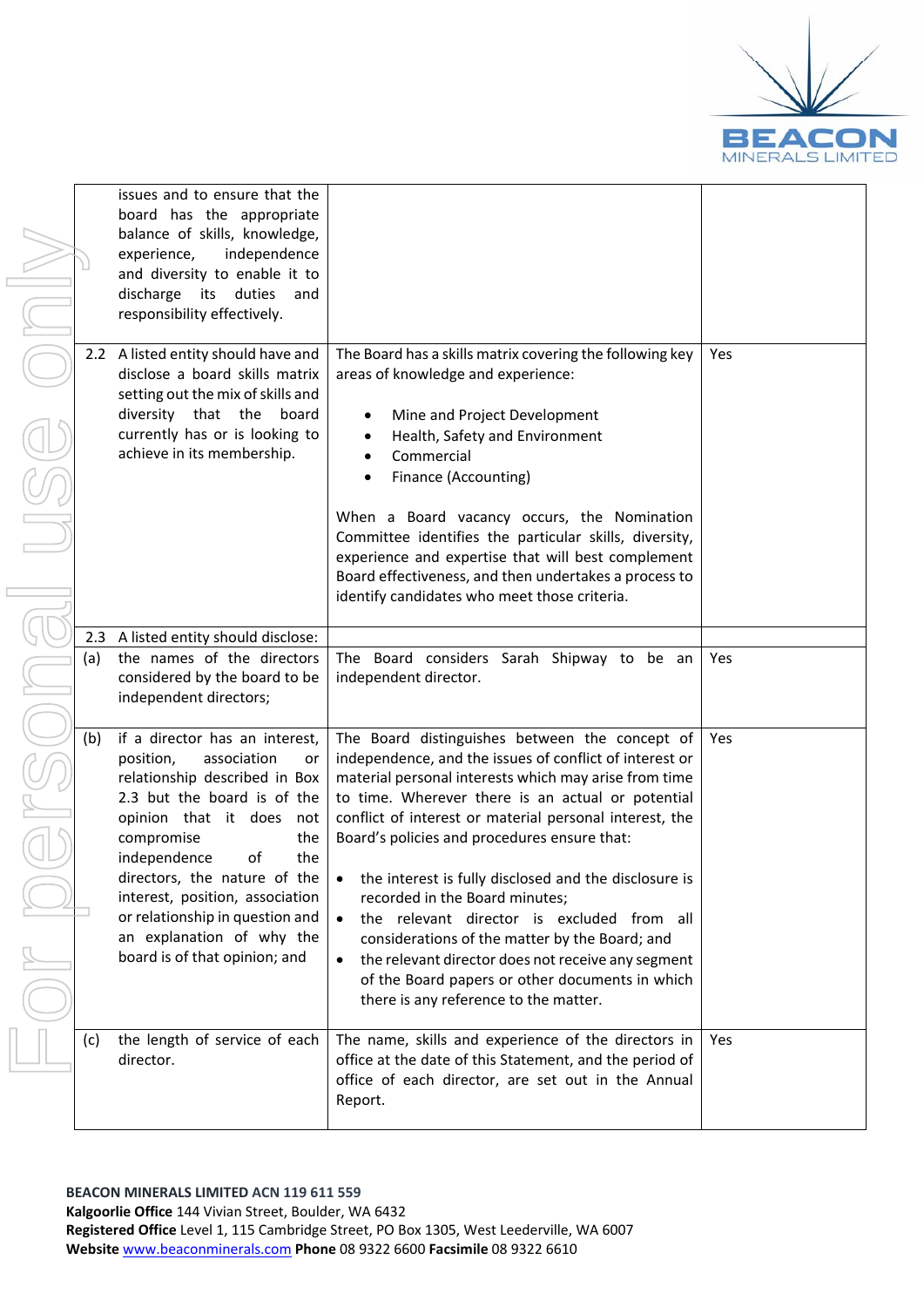

| issues and to ensure that the<br>board has the appropriate<br>balance of skills, knowledge,<br>experience,<br>independence<br>and diversity to enable it to<br>discharge its<br>duties<br>and<br>responsibility effectively.<br>2.2 A listed entity should have and<br>The Board has a skills matrix covering the following key<br>Yes<br>disclose a board skills matrix<br>areas of knowledge and experience:<br>setting out the mix of skills and<br>diversity that the<br>board<br>Mine and Project Development<br>currently has or is looking to<br>Health, Safety and Environment<br>$\bullet$<br>achieve in its membership.<br>Commercial<br>$\bullet$<br>Finance (Accounting)<br>When a Board vacancy occurs, the Nomination<br>Committee identifies the particular skills, diversity,<br>experience and expertise that will best complement<br>Board effectiveness, and then undertakes a process to<br>identify candidates who meet those criteria.<br>A listed entity should disclose:<br>2.3<br>the names of the directors<br>The Board considers Sarah Shipway to be an<br>(a)<br>Yes<br>considered by the board to be<br>independent director.<br>independent directors;<br>if a director has an interest,<br>The Board distinguishes between the concept of<br>(b)<br>Yes<br>position,<br>association<br>independence, and the issues of conflict of interest or<br>or<br>relationship described in Box<br>material personal interests which may arise from time<br>2.3 but the board is of the<br>to time. Wherever there is an actual or potential<br>conflict of interest or material personal interest, the<br>opinion that it does not<br>compromise<br>Board's policies and procedures ensure that:<br>the<br>independence<br>of<br>the<br>directors, the nature of the<br>the interest is fully disclosed and the disclosure is<br>interest, position, association<br>recorded in the Board minutes;<br>or relationship in question and<br>the relevant director is excluded from all<br>$\bullet$<br>an explanation of why the<br>considerations of the matter by the Board; and<br>board is of that opinion; and<br>the relevant director does not receive any segment<br>$\bullet$<br>of the Board papers or other documents in which<br>there is any reference to the matter.<br>The name, skills and experience of the directors in<br>the length of service of each<br>Yes<br>(c)<br>office at the date of this Statement, and the period of<br>director.<br>office of each director, are set out in the Annual<br>Report. |  |  |  |
|-------------------------------------------------------------------------------------------------------------------------------------------------------------------------------------------------------------------------------------------------------------------------------------------------------------------------------------------------------------------------------------------------------------------------------------------------------------------------------------------------------------------------------------------------------------------------------------------------------------------------------------------------------------------------------------------------------------------------------------------------------------------------------------------------------------------------------------------------------------------------------------------------------------------------------------------------------------------------------------------------------------------------------------------------------------------------------------------------------------------------------------------------------------------------------------------------------------------------------------------------------------------------------------------------------------------------------------------------------------------------------------------------------------------------------------------------------------------------------------------------------------------------------------------------------------------------------------------------------------------------------------------------------------------------------------------------------------------------------------------------------------------------------------------------------------------------------------------------------------------------------------------------------------------------------------------------------------------------------------------------------------------------------------------------------------------------------------------------------------------------------------------------------------------------------------------------------------------------------------------------------------------------------------------------------------------------------------------------------------------------------------------------------------------------------------------------------------------------------------------------------------------------------------------------------|--|--|--|
|                                                                                                                                                                                                                                                                                                                                                                                                                                                                                                                                                                                                                                                                                                                                                                                                                                                                                                                                                                                                                                                                                                                                                                                                                                                                                                                                                                                                                                                                                                                                                                                                                                                                                                                                                                                                                                                                                                                                                                                                                                                                                                                                                                                                                                                                                                                                                                                                                                                                                                                                                       |  |  |  |
|                                                                                                                                                                                                                                                                                                                                                                                                                                                                                                                                                                                                                                                                                                                                                                                                                                                                                                                                                                                                                                                                                                                                                                                                                                                                                                                                                                                                                                                                                                                                                                                                                                                                                                                                                                                                                                                                                                                                                                                                                                                                                                                                                                                                                                                                                                                                                                                                                                                                                                                                                       |  |  |  |
|                                                                                                                                                                                                                                                                                                                                                                                                                                                                                                                                                                                                                                                                                                                                                                                                                                                                                                                                                                                                                                                                                                                                                                                                                                                                                                                                                                                                                                                                                                                                                                                                                                                                                                                                                                                                                                                                                                                                                                                                                                                                                                                                                                                                                                                                                                                                                                                                                                                                                                                                                       |  |  |  |
|                                                                                                                                                                                                                                                                                                                                                                                                                                                                                                                                                                                                                                                                                                                                                                                                                                                                                                                                                                                                                                                                                                                                                                                                                                                                                                                                                                                                                                                                                                                                                                                                                                                                                                                                                                                                                                                                                                                                                                                                                                                                                                                                                                                                                                                                                                                                                                                                                                                                                                                                                       |  |  |  |
|                                                                                                                                                                                                                                                                                                                                                                                                                                                                                                                                                                                                                                                                                                                                                                                                                                                                                                                                                                                                                                                                                                                                                                                                                                                                                                                                                                                                                                                                                                                                                                                                                                                                                                                                                                                                                                                                                                                                                                                                                                                                                                                                                                                                                                                                                                                                                                                                                                                                                                                                                       |  |  |  |
|                                                                                                                                                                                                                                                                                                                                                                                                                                                                                                                                                                                                                                                                                                                                                                                                                                                                                                                                                                                                                                                                                                                                                                                                                                                                                                                                                                                                                                                                                                                                                                                                                                                                                                                                                                                                                                                                                                                                                                                                                                                                                                                                                                                                                                                                                                                                                                                                                                                                                                                                                       |  |  |  |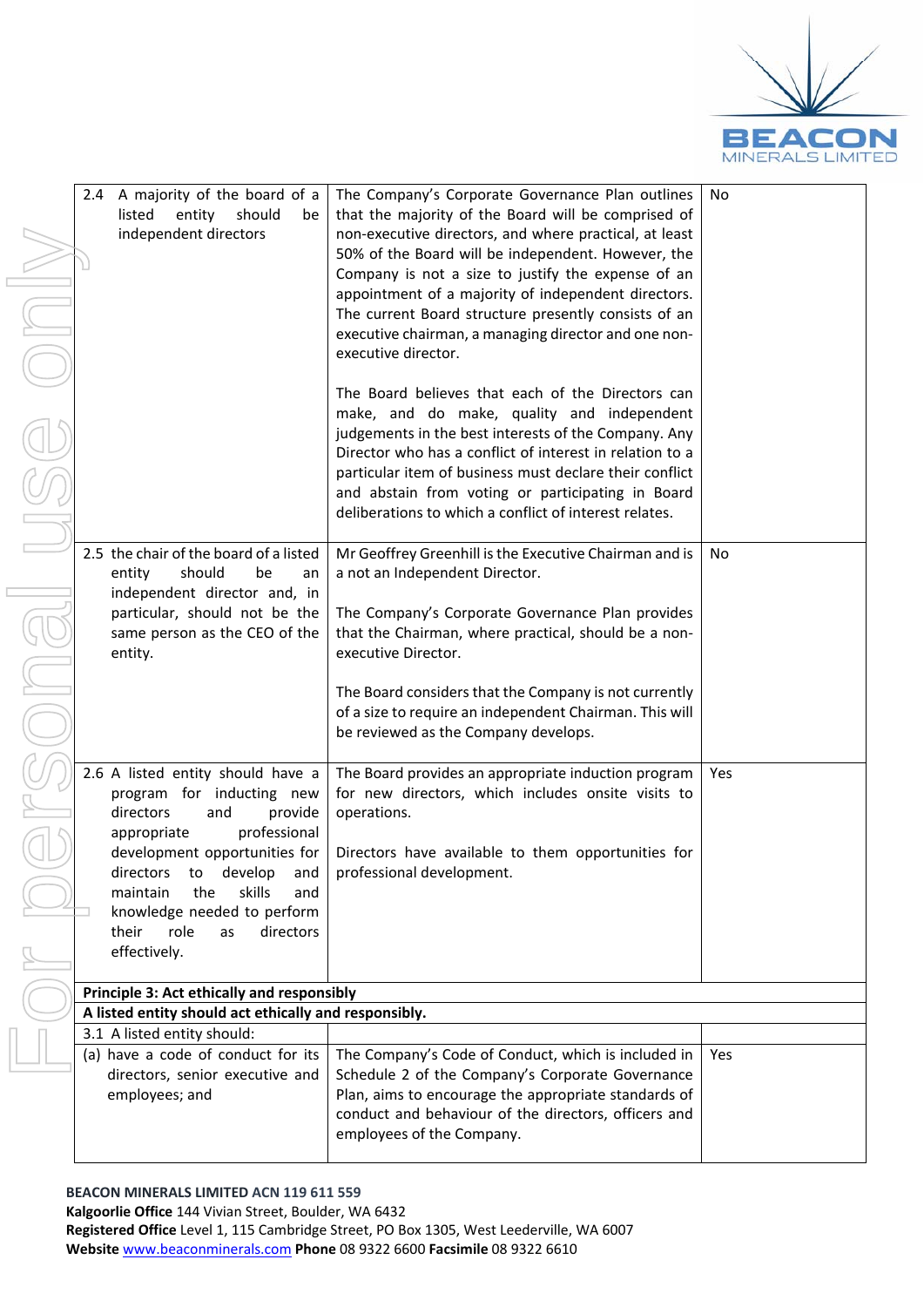

No

| 2.4 A majority of the board of a<br>listed<br>entity<br>should<br>be<br>independent directors                                                                                                                                                                                                                                | The Company's Corporate Governance Plan outlines<br>that the majority of the Board will be comprised of<br>non-executive directors, and where practical, at least<br>50% of the Board will be independent. However, the<br>Company is not a size to justify the expense of an<br>appointment of a majority of independent directors.<br>The current Board structure presently consists of an<br>executive chairman, a managing director and one non-<br>executive director. |
|------------------------------------------------------------------------------------------------------------------------------------------------------------------------------------------------------------------------------------------------------------------------------------------------------------------------------|-----------------------------------------------------------------------------------------------------------------------------------------------------------------------------------------------------------------------------------------------------------------------------------------------------------------------------------------------------------------------------------------------------------------------------------------------------------------------------|
|                                                                                                                                                                                                                                                                                                                              | The Board believes that each of the Directors can<br>make, and do make, quality and independent<br>judgements in the best interests of the Company. Any<br>Director who has a conflict of interest in relation to a<br>particular item of business must declare their conflict<br>and abstain from voting or participating in Board<br>deliberations to which a conflict of interest relates.                                                                               |
| 2.5 the chair of the board of a listed<br>should<br>entity<br>be<br>an<br>independent director and, in<br>particular, should not be the<br>same person as the CEO of the<br>entity.                                                                                                                                          | Mr Geoffrey Greenhill is the Executive Chairman and is<br>a not an Independent Director.<br>The Company's Corporate Governance Plan provides<br>that the Chairman, where practical, should be a non-<br>executive Director.                                                                                                                                                                                                                                                 |
|                                                                                                                                                                                                                                                                                                                              | The Board considers that the Company is not currently<br>of a size to require an independent Chairman. This will<br>be reviewed as the Company develops.                                                                                                                                                                                                                                                                                                                    |
| 2.6 A listed entity should have a<br>for inducting new<br>program<br>directors<br>provide<br>and<br>appropriate<br>professional<br>development opportunities for<br>directors<br>develop<br>to<br>and<br>the<br>skills<br>maintain<br>and<br>knowledge needed to perform<br>their<br>role<br>directors<br>as<br>effectively. | The Board provides an appropriate induction program<br>for new directors, which includes onsite visits to<br>operations.<br>Directors have available to them opportunities for<br>professional development.                                                                                                                                                                                                                                                                 |
| Principle 3: Act ethically and responsibly                                                                                                                                                                                                                                                                                   |                                                                                                                                                                                                                                                                                                                                                                                                                                                                             |
| A listed entity should act ethically and responsibly.                                                                                                                                                                                                                                                                        |                                                                                                                                                                                                                                                                                                                                                                                                                                                                             |
| 3.1 A listed entity should:                                                                                                                                                                                                                                                                                                  |                                                                                                                                                                                                                                                                                                                                                                                                                                                                             |
| (a) have a code of conduct for its                                                                                                                                                                                                                                                                                           | The Company's Code of Conduct, which is included in                                                                                                                                                                                                                                                                                                                                                                                                                         |
| directors, senior executive and<br>employees; and                                                                                                                                                                                                                                                                            | Schedule 2 of the Company's Corporate Governance<br>Plan, aims to encourage the appropriate standards of                                                                                                                                                                                                                                                                                                                                                                    |
|                                                                                                                                                                                                                                                                                                                              |                                                                                                                                                                                                                                                                                                                                                                                                                                                                             |

| independent directors                                                                                                                                                                                                                                                                                                  | non-executive directors, and where practical, at least<br>50% of the Board will be independent. However, the<br>Company is not a size to justify the expense of an<br>appointment of a majority of independent directors.<br>The current Board structure presently consists of an<br>executive chairman, a managing director and one non-<br>executive director.                              |     |
|------------------------------------------------------------------------------------------------------------------------------------------------------------------------------------------------------------------------------------------------------------------------------------------------------------------------|-----------------------------------------------------------------------------------------------------------------------------------------------------------------------------------------------------------------------------------------------------------------------------------------------------------------------------------------------------------------------------------------------|-----|
|                                                                                                                                                                                                                                                                                                                        | The Board believes that each of the Directors can<br>make, and do make, quality and independent<br>judgements in the best interests of the Company. Any<br>Director who has a conflict of interest in relation to a<br>particular item of business must declare their conflict<br>and abstain from voting or participating in Board<br>deliberations to which a conflict of interest relates. |     |
| 2.5 the chair of the board of a listed<br>should<br>entity<br>be<br>an<br>independent director and, in<br>particular, should not be the<br>same person as the CEO of the<br>entity.                                                                                                                                    | Mr Geoffrey Greenhill is the Executive Chairman and is<br>a not an Independent Director.<br>The Company's Corporate Governance Plan provides<br>that the Chairman, where practical, should be a non-<br>executive Director.                                                                                                                                                                   | No  |
|                                                                                                                                                                                                                                                                                                                        | The Board considers that the Company is not currently<br>of a size to require an independent Chairman. This will<br>be reviewed as the Company develops.                                                                                                                                                                                                                                      |     |
| 2.6 A listed entity should have a<br>program for inducting new<br>directors<br>provide<br>and<br>professional<br>appropriate<br>development opportunities for<br>develop<br>directors to<br>and<br>maintain<br>the<br>skills<br>and<br>knowledge needed to perform<br>their<br>role<br>directors<br>as<br>effectively. | The Board provides an appropriate induction program<br>for new directors, which includes onsite visits to<br>operations.<br>Directors have available to them opportunities for<br>professional development.                                                                                                                                                                                   | Yes |
| Principle 3: Act ethically and responsibly                                                                                                                                                                                                                                                                             |                                                                                                                                                                                                                                                                                                                                                                                               |     |
| A listed entity should act ethically and responsibly.                                                                                                                                                                                                                                                                  |                                                                                                                                                                                                                                                                                                                                                                                               |     |
| 3.1 A listed entity should:                                                                                                                                                                                                                                                                                            |                                                                                                                                                                                                                                                                                                                                                                                               |     |
| (a) have a code of conduct for its<br>directors, senior executive and<br>employees; and                                                                                                                                                                                                                                | The Company's Code of Conduct, which is included in<br>Schedule 2 of the Company's Corporate Governance<br>Plan, aims to encourage the appropriate standards of<br>conduct and behaviour of the directors, officers and<br>employees of the Company.                                                                                                                                          | Yes |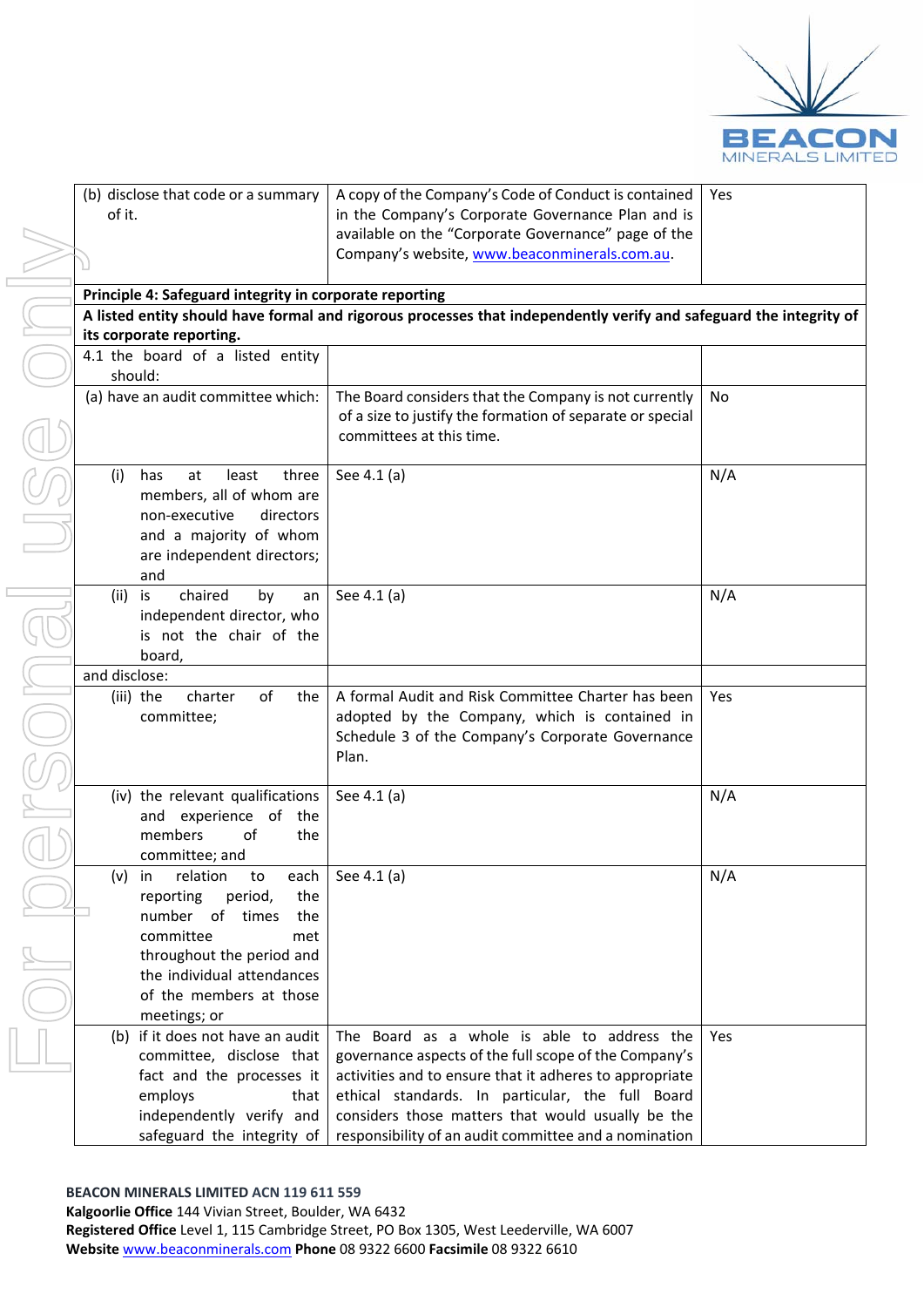

| of it.        | (b) disclose that code or a summary                    | A copy<br>in the          |
|---------------|--------------------------------------------------------|---------------------------|
|               |                                                        | availab<br>Compa          |
|               | Principle 4: Safeguard integrity in corporate          |                           |
|               | A listed entity should have formal and rigord          |                           |
|               | its corporate reporting.                               |                           |
|               | 4.1 the board of a listed entity<br>should:            |                           |
|               | (a) have an audit committee which:                     | The Boa                   |
|               |                                                        | of a siz<br>commi         |
| (i)           | least<br>three<br>has<br>at                            | See 4.1                   |
|               | members, all of whom are                               |                           |
|               | non-executive<br>directors                             |                           |
|               | and a majority of whom                                 |                           |
|               | are independent directors;                             |                           |
|               | and                                                    |                           |
| (ii)          | chaired<br>by<br>is<br>an<br>independent director, who | See 4.1                   |
|               | is not the chair of the                                |                           |
|               | board,                                                 |                           |
| and disclose: |                                                        |                           |
|               | charter<br>οf<br>the<br>(iii) the                      | A form                    |
|               | committee;                                             | adopte<br>Schedu<br>Plan. |
|               |                                                        |                           |
|               | (iv) the relevant qualifications                       | See 4.1                   |
|               | and experience of<br>the                               |                           |
|               | of<br>the<br>members<br>committee; and                 |                           |
| (v)           | relation<br>each<br>to<br>in                           | See 4.1                   |
|               | period,<br>the<br>reporting                            |                           |
|               | number<br>οf<br>times<br>the                           |                           |
|               | committee<br>met                                       |                           |
|               | throughout the period and                              |                           |
|               | the individual attendances<br>of the members at those  |                           |
|               | meetings; or                                           |                           |
|               | (b) if it does not have an audit                       | The Bo                    |
|               | committee, disclose that                               | governa                   |
|               | fact and the processes it                              | activitie                 |
|               | employs<br>that                                        | ethical                   |

of the Company's Code of Conduct is contained Company's Corporate Governance Plan and is le on the "Corporate Governance" page of the ny's website, www.beaconminerals.com.au. Yes

**reporting** 

bus processes that independently verify and safeguard the integrity of

| 4.1 the board of a listed entity<br>should:                                                                                                                                                                                |                                                                                                                                                                                                                                                                                                                                   |     |
|----------------------------------------------------------------------------------------------------------------------------------------------------------------------------------------------------------------------------|-----------------------------------------------------------------------------------------------------------------------------------------------------------------------------------------------------------------------------------------------------------------------------------------------------------------------------------|-----|
| (a) have an audit committee which:                                                                                                                                                                                         | The Board considers that the Company is not currently<br>of a size to justify the formation of separate or special<br>committees at this time.                                                                                                                                                                                    | No  |
| (i)<br>has<br>at<br>least<br>three<br>members, all of whom are<br>non-executive<br>directors<br>and a majority of whom<br>are independent directors;<br>and                                                                | See 4.1 (a)                                                                                                                                                                                                                                                                                                                       | N/A |
| chaired<br>$(ii)$ is<br>by<br>an<br>independent director, who<br>is not the chair of the<br>board.                                                                                                                         | See 4.1 (a)                                                                                                                                                                                                                                                                                                                       | N/A |
| and disclose:                                                                                                                                                                                                              |                                                                                                                                                                                                                                                                                                                                   |     |
| (iii) the<br>charter<br>οf<br>the<br>committee;                                                                                                                                                                            | A formal Audit and Risk Committee Charter has been<br>adopted by the Company, which is contained in<br>Schedule 3 of the Company's Corporate Governance<br>Plan.                                                                                                                                                                  | Yes |
| (iv) the relevant qualifications<br>and experience of the<br>members<br>οf<br>the<br>committee; and                                                                                                                        | See 4.1 (a)                                                                                                                                                                                                                                                                                                                       | N/A |
| relation<br>each<br>$(v)$ in<br>to<br>reporting<br>period,<br>the<br>J<br>number of times<br>the<br>committee<br>met<br>throughout the period and<br>the individual attendances<br>of the members at those<br>meetings; or | See 4.1 (a)                                                                                                                                                                                                                                                                                                                       | N/A |
| (b) if it does not have an audit<br>committee, disclose that<br>fact and the processes it<br>employs<br>that<br>independently verify and<br>safeguard the integrity of                                                     | The Board as a whole is able to address the<br>governance aspects of the full scope of the Company's<br>activities and to ensure that it adheres to appropriate<br>ethical standards. In particular, the full Board<br>considers those matters that would usually be the<br>responsibility of an audit committee and a nomination | Yes |

**BEACON MINERALS LIMITED ACN 119 611 559**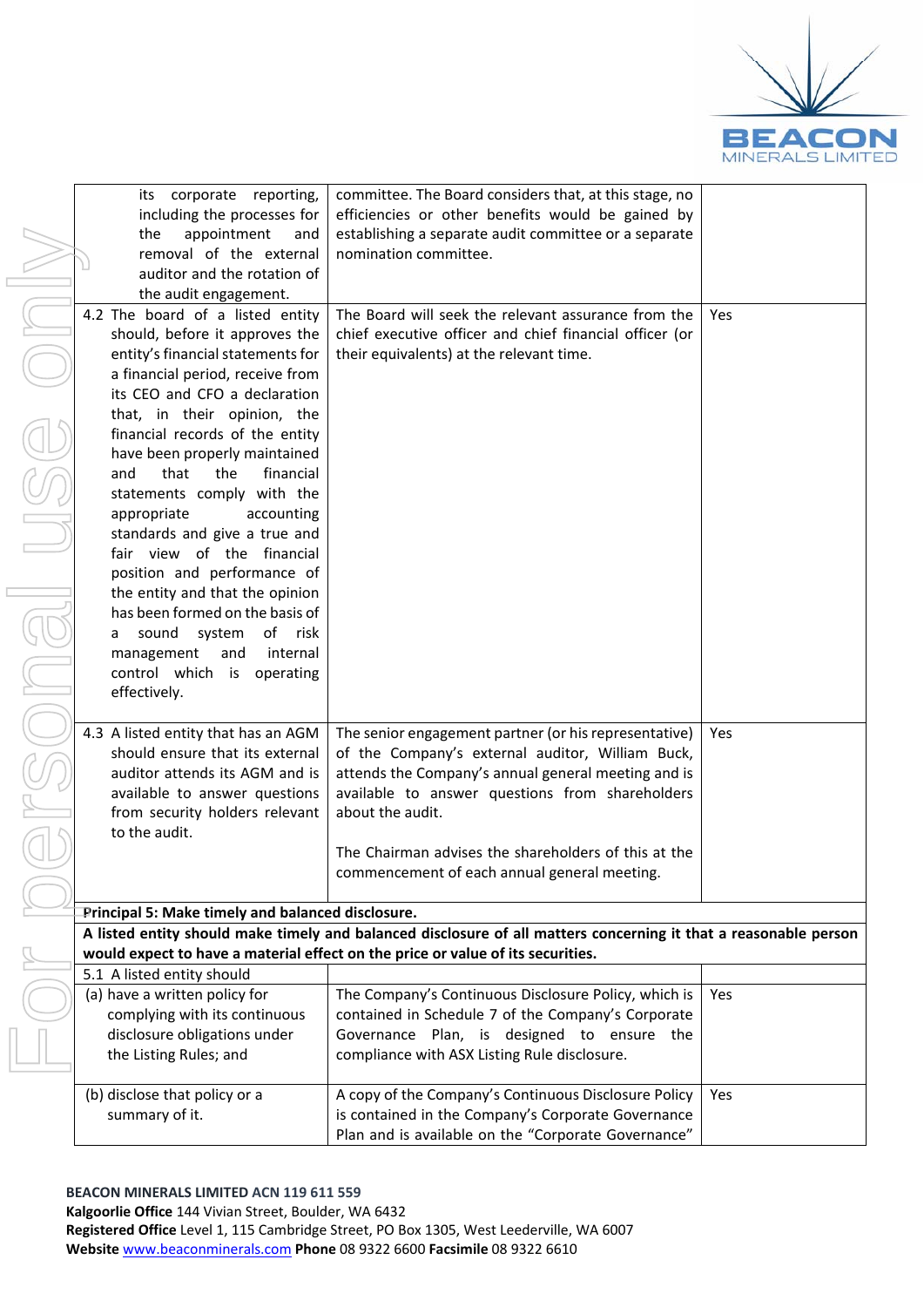

| corporate reporting,<br>its                       | committee. The Board considers that, at this stage, no                                                           |     |
|---------------------------------------------------|------------------------------------------------------------------------------------------------------------------|-----|
| including the processes for                       | efficiencies or other benefits would be gained by                                                                |     |
| appointment<br>the<br>and                         | establishing a separate audit committee or a separate                                                            |     |
| removal of the external                           | nomination committee.                                                                                            |     |
| auditor and the rotation of                       |                                                                                                                  |     |
| the audit engagement.                             |                                                                                                                  |     |
| 4.2 The board of a listed entity                  | The Board will seek the relevant assurance from the                                                              | Yes |
| should, before it approves the                    | chief executive officer and chief financial officer (or                                                          |     |
| entity's financial statements for                 | their equivalents) at the relevant time.                                                                         |     |
| a financial period, receive from                  |                                                                                                                  |     |
| its CEO and CFO a declaration                     |                                                                                                                  |     |
|                                                   |                                                                                                                  |     |
| that, in their opinion, the                       |                                                                                                                  |     |
| financial records of the entity                   |                                                                                                                  |     |
| have been properly maintained                     |                                                                                                                  |     |
| and<br>that<br>the<br>financial                   |                                                                                                                  |     |
| statements comply with the                        |                                                                                                                  |     |
| appropriate<br>accounting                         |                                                                                                                  |     |
| standards and give a true and                     |                                                                                                                  |     |
| fair view of the financial                        |                                                                                                                  |     |
| position and performance of                       |                                                                                                                  |     |
| the entity and that the opinion                   |                                                                                                                  |     |
| has been formed on the basis of                   |                                                                                                                  |     |
| sound<br>system<br>of risk<br>a                   |                                                                                                                  |     |
| management<br>and<br>internal                     |                                                                                                                  |     |
| control which is operating                        |                                                                                                                  |     |
| effectively.                                      |                                                                                                                  |     |
|                                                   |                                                                                                                  |     |
| 4.3 A listed entity that has an AGM               | The senior engagement partner (or his representative)                                                            | Yes |
| should ensure that its external                   | of the Company's external auditor, William Buck,                                                                 |     |
| auditor attends its AGM and is                    | attends the Company's annual general meeting and is                                                              |     |
| available to answer questions                     | available to answer questions from shareholders                                                                  |     |
| from security holders relevant                    | about the audit.                                                                                                 |     |
| to the audit.                                     |                                                                                                                  |     |
|                                                   | The Chairman advises the shareholders of this at the                                                             |     |
|                                                   | commencement of each annual general meeting.                                                                     |     |
|                                                   |                                                                                                                  |     |
| Principal 5: Make timely and balanced disclosure. |                                                                                                                  |     |
|                                                   | A listed entity should make timely and balanced disclosure of all matters concerning it that a reasonable person |     |
|                                                   | would expect to have a material effect on the price or value of its securities.                                  |     |
| 5.1 A listed entity should                        |                                                                                                                  |     |
| (a) have a written policy for                     | The Company's Continuous Disclosure Policy, which is                                                             | Yes |
| complying with its continuous                     | contained in Schedule 7 of the Company's Corporate                                                               |     |
| disclosure obligations under                      | Governance Plan, is designed to ensure the                                                                       |     |
| the Listing Rules; and                            | compliance with ASX Listing Rule disclosure.                                                                     |     |
|                                                   |                                                                                                                  |     |
| (b) disclose that policy or a                     | A copy of the Company's Continuous Disclosure Policy                                                             | Yes |
| summary of it.                                    | is contained in the Company's Corporate Governance                                                               |     |
|                                                   | Plan and is available on the "Corporate Governance"                                                              |     |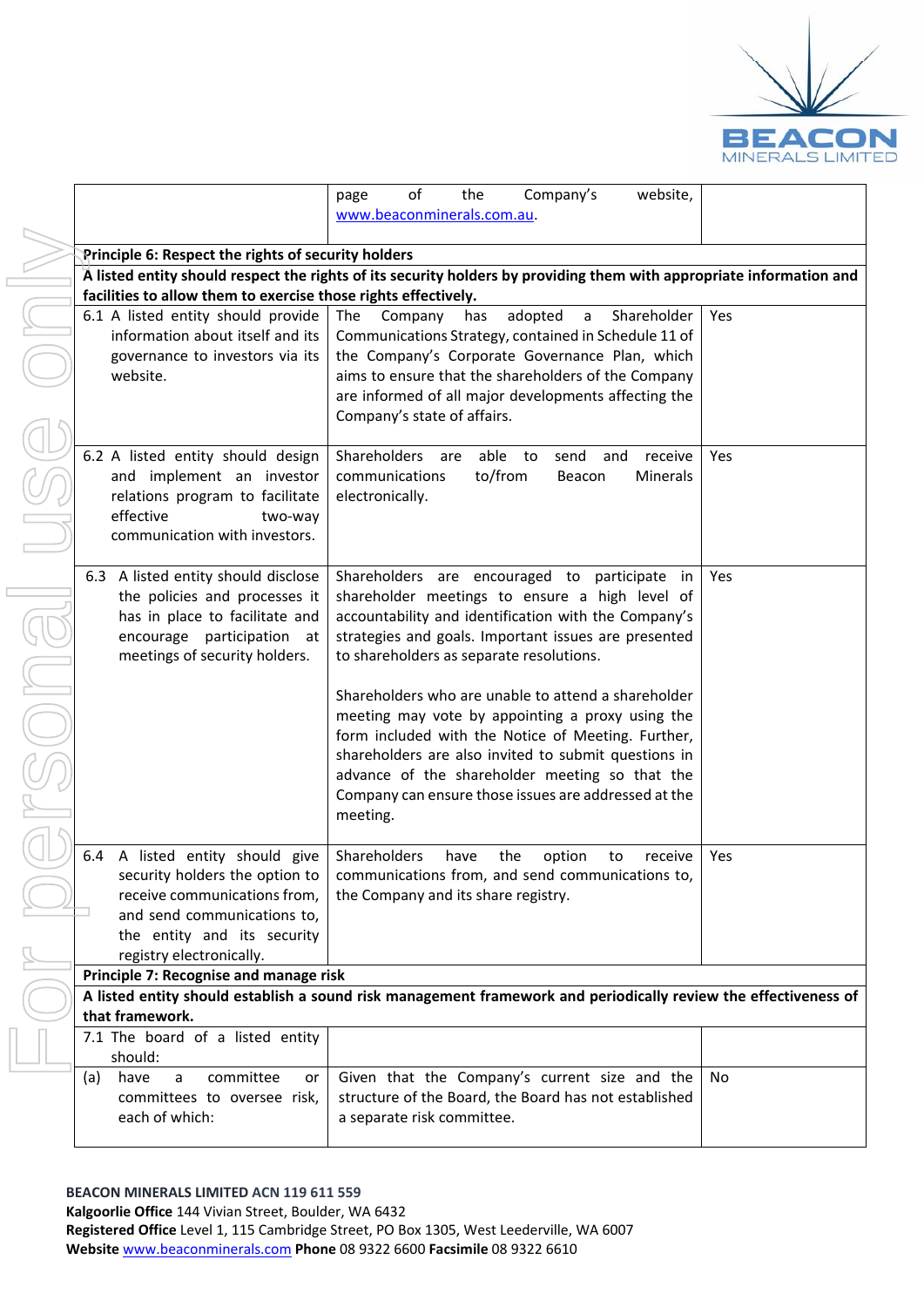

|                                                                | of<br>Company's<br>the<br>website,<br>page                                                                           |     |
|----------------------------------------------------------------|----------------------------------------------------------------------------------------------------------------------|-----|
|                                                                | www.beaconminerals.com.au.                                                                                           |     |
|                                                                |                                                                                                                      |     |
| <b>Principle 6: Respect the rights of security holders</b>     |                                                                                                                      |     |
|                                                                | A listed entity should respect the rights of its security holders by providing them with appropriate information and |     |
| facilities to allow them to exercise those rights effectively. |                                                                                                                      |     |
| 6.1 A listed entity should provide                             | Shareholder<br>The<br>adopted<br>Company<br>has<br>a                                                                 | Yes |
| information about itself and its                               | Communications Strategy, contained in Schedule 11 of                                                                 |     |
| governance to investors via its                                | the Company's Corporate Governance Plan, which                                                                       |     |
| website.                                                       | aims to ensure that the shareholders of the Company                                                                  |     |
|                                                                | are informed of all major developments affecting the                                                                 |     |
|                                                                | Company's state of affairs.                                                                                          |     |
|                                                                |                                                                                                                      |     |
| 6.2 A listed entity should design                              | Shareholders<br>able<br>send<br>receive<br>are<br>to<br>and                                                          | Yes |
| and implement an investor                                      | to/from<br>communications<br>Minerals<br>Beacon                                                                      |     |
| relations program to facilitate                                | electronically.                                                                                                      |     |
| effective<br>two-way                                           |                                                                                                                      |     |
| communication with investors.                                  |                                                                                                                      |     |
|                                                                |                                                                                                                      |     |
| 6.3 A listed entity should disclose                            | Shareholders are encouraged to participate in                                                                        | Yes |
| the policies and processes it                                  | shareholder meetings to ensure a high level of                                                                       |     |
| has in place to facilitate and                                 | accountability and identification with the Company's                                                                 |     |
| encourage participation at                                     | strategies and goals. Important issues are presented                                                                 |     |
| meetings of security holders.                                  | to shareholders as separate resolutions.                                                                             |     |
|                                                                |                                                                                                                      |     |
|                                                                | Shareholders who are unable to attend a shareholder                                                                  |     |
|                                                                | meeting may vote by appointing a proxy using the                                                                     |     |
|                                                                | form included with the Notice of Meeting. Further,                                                                   |     |
|                                                                | shareholders are also invited to submit questions in                                                                 |     |
|                                                                | advance of the shareholder meeting so that the                                                                       |     |
|                                                                | Company can ensure those issues are addressed at the                                                                 |     |
|                                                                | meeting.                                                                                                             |     |
|                                                                |                                                                                                                      |     |
| A listed entity should give<br>6.4                             | Shareholders<br>have<br>the<br>option<br>receive<br>to                                                               | Yes |
|                                                                | security holders the option to   communications from, and send communications to,                                    |     |
| receive communications from,                                   | the Company and its share registry.                                                                                  |     |
| and send communications to,                                    |                                                                                                                      |     |
| the entity and its security                                    |                                                                                                                      |     |
| registry electronically.                                       |                                                                                                                      |     |
| Principle 7: Recognise and manage risk                         |                                                                                                                      |     |
|                                                                | A listed entity should establish a sound risk management framework and periodically review the effectiveness of      |     |
| that framework.                                                |                                                                                                                      |     |
| 7.1 The board of a listed entity                               |                                                                                                                      |     |
| should:                                                        |                                                                                                                      |     |
| committee<br>(a)<br>have<br>or<br>a                            | Given that the Company's current size and the                                                                        | No  |
| committees to oversee risk,                                    | structure of the Board, the Board has not established                                                                |     |
| each of which:                                                 | a separate risk committee.                                                                                           |     |
|                                                                |                                                                                                                      |     |

**BEACON MINERALS LIMITED ACN 119 611 559**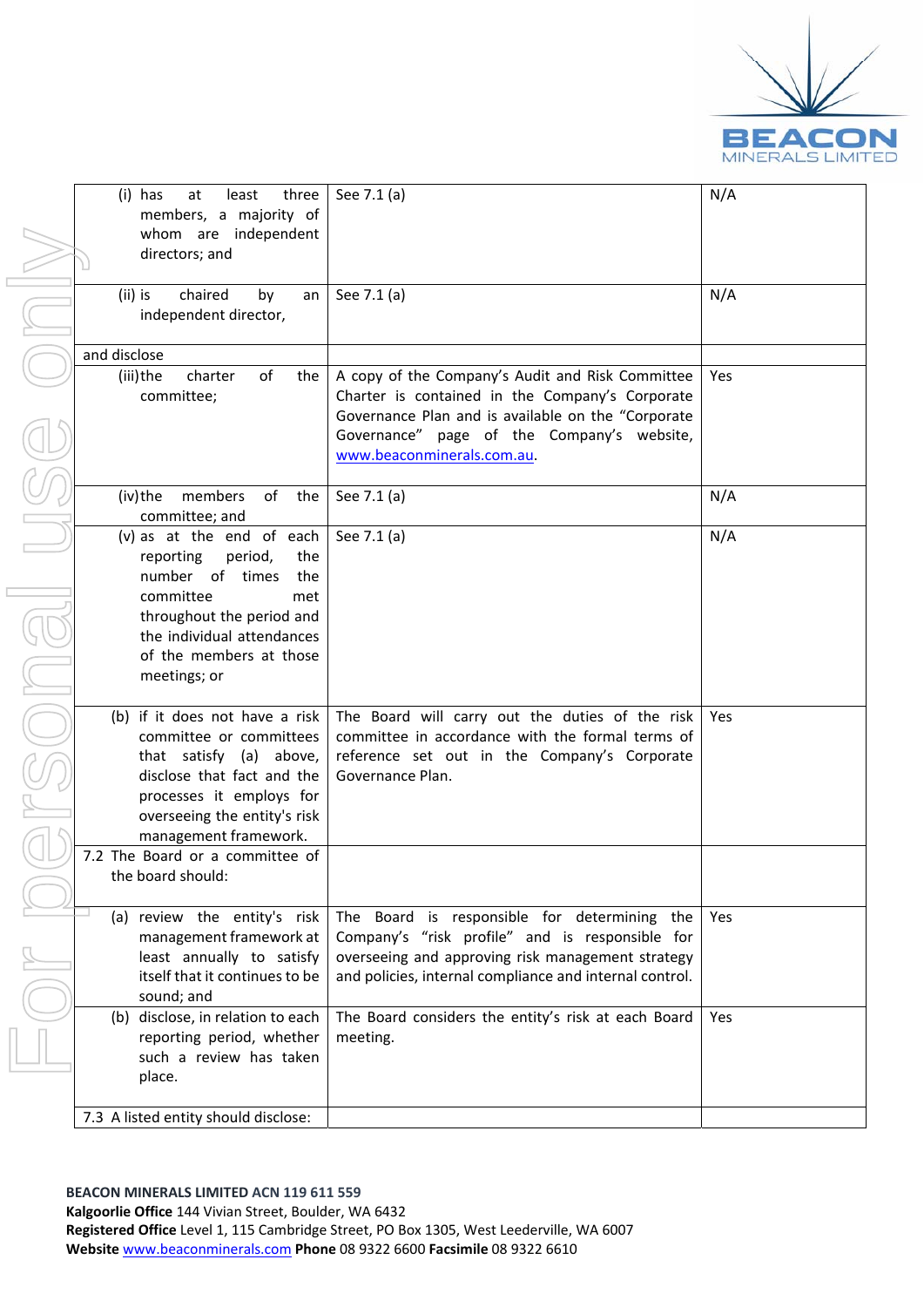

r

| (i) has<br>at<br>least<br>three<br>members, a majority of<br>whom are independent<br>directors; and                                                                                                          | See 7.1 (a)                                                                                                                                                                                                                           | N/A |
|--------------------------------------------------------------------------------------------------------------------------------------------------------------------------------------------------------------|---------------------------------------------------------------------------------------------------------------------------------------------------------------------------------------------------------------------------------------|-----|
| (ii) is<br>chaired<br>by<br>an<br>independent director,                                                                                                                                                      | See 7.1 (a)                                                                                                                                                                                                                           | N/A |
| and disclose                                                                                                                                                                                                 |                                                                                                                                                                                                                                       |     |
| (iii)the<br>of<br>charter<br>the<br>committee;                                                                                                                                                               | A copy of the Company's Audit and Risk Committee<br>Charter is contained in the Company's Corporate<br>Governance Plan and is available on the "Corporate<br>Governance" page of the Company's website,<br>www.beaconminerals.com.au. | Yes |
| (iv) the<br>of the<br>members<br>committee; and                                                                                                                                                              | See 7.1 (a)                                                                                                                                                                                                                           | N/A |
| (v) as at the end of each<br>reporting<br>period,<br>the<br>number of times<br>the<br>committee<br>met<br>throughout the period and<br>the individual attendances<br>of the members at those<br>meetings; or | See 7.1 (a)                                                                                                                                                                                                                           | N/A |
| (b) if it does not have a risk<br>committee or committees<br>that satisfy (a) above,<br>disclose that fact and the<br>processes it employs for<br>overseeing the entity's risk<br>management framework.      | The Board will carry out the duties of the risk<br>committee in accordance with the formal terms of<br>reference set out in the Company's Corporate<br>Governance Plan.                                                               | Yes |
| 7.2 The Board or a committee of<br>the board should:                                                                                                                                                         |                                                                                                                                                                                                                                       |     |
| (a) review the entity's risk<br>management framework at<br>least annually to satisfy<br>itself that it continues to be<br>sound; and                                                                         | The Board is responsible for determining the<br>Company's "risk profile" and is responsible for<br>overseeing and approving risk management strategy<br>and policies, internal compliance and internal control.                       | Yes |
| (b) disclose, in relation to each<br>reporting period, whether<br>such a review has taken<br>place.                                                                                                          | The Board considers the entity's risk at each Board<br>meeting.                                                                                                                                                                       | Yes |
| 7.3 A listed entity should disclose:                                                                                                                                                                         |                                                                                                                                                                                                                                       |     |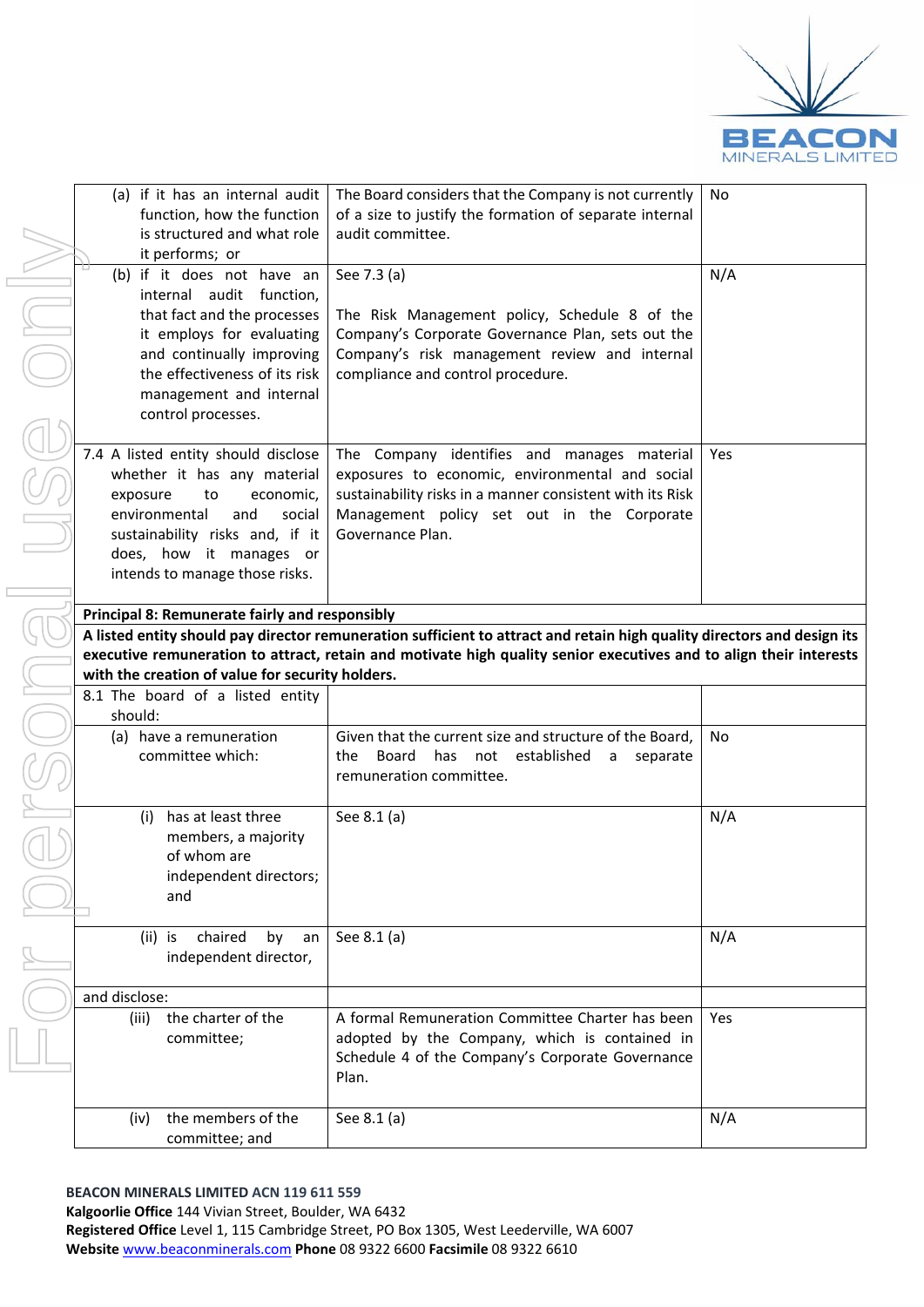

| (a) if it has an internal audit                  | The Board considers that the Company is not currently                                                                   | No  |
|--------------------------------------------------|-------------------------------------------------------------------------------------------------------------------------|-----|
| function, how the function                       | of a size to justify the formation of separate internal                                                                 |     |
| is structured and what role                      | audit committee.                                                                                                        |     |
| it performs; or                                  |                                                                                                                         |     |
| (b) if it does not have an                       | See 7.3 (a)                                                                                                             | N/A |
| internal audit function,                         |                                                                                                                         |     |
| that fact and the processes                      | The Risk Management policy, Schedule 8 of the                                                                           |     |
| it employs for evaluating                        | Company's Corporate Governance Plan, sets out the                                                                       |     |
| and continually improving                        | Company's risk management review and internal                                                                           |     |
| the effectiveness of its risk                    | compliance and control procedure.                                                                                       |     |
| management and internal                          |                                                                                                                         |     |
| control processes.                               |                                                                                                                         |     |
|                                                  |                                                                                                                         |     |
| 7.4 A listed entity should disclose              | The Company identifies and manages material                                                                             | Yes |
| whether it has any material                      | exposures to economic, environmental and social                                                                         |     |
| economic,<br>exposure<br>to                      | sustainability risks in a manner consistent with its Risk                                                               |     |
| environmental<br>and<br>social                   | Management policy set out in the Corporate                                                                              |     |
| sustainability risks and, if it                  | Governance Plan.                                                                                                        |     |
| does, how it manages or                          |                                                                                                                         |     |
| intends to manage those risks.                   |                                                                                                                         |     |
|                                                  |                                                                                                                         |     |
| Principal 8: Remunerate fairly and responsibly   |                                                                                                                         |     |
|                                                  | A listed entity should pay director remuneration sufficient to attract and retain high quality directors and design its |     |
|                                                  | executive remuneration to attract, retain and motivate high quality senior executives and to align their interests      |     |
| with the creation of value for security holders. |                                                                                                                         |     |
| 8.1 The board of a listed entity                 |                                                                                                                         |     |
| should:                                          |                                                                                                                         |     |
| (a) have a remuneration                          | Given that the current size and structure of the Board,                                                                 | No  |
| committee which:                                 | Board<br>has<br>not<br>established<br>the<br>separate<br>a                                                              |     |
|                                                  |                                                                                                                         |     |
|                                                  | remuneration committee.                                                                                                 |     |
|                                                  |                                                                                                                         |     |
| has at least three<br>(i)                        | See 8.1 (a)                                                                                                             | N/A |
| members, a majority                              |                                                                                                                         |     |
| of whom are                                      |                                                                                                                         |     |
| independent directors;                           |                                                                                                                         |     |
| and                                              |                                                                                                                         |     |
|                                                  |                                                                                                                         |     |
| chaired<br>by<br>$(ii)$ is<br>an                 | See 8.1 (a)                                                                                                             | N/A |
| independent director,                            |                                                                                                                         |     |
|                                                  |                                                                                                                         |     |
| and disclose:                                    |                                                                                                                         |     |
| (iii)<br>the charter of the                      | A formal Remuneration Committee Charter has been                                                                        | Yes |
| committee;                                       | adopted by the Company, which is contained in                                                                           |     |
|                                                  | Schedule 4 of the Company's Corporate Governance                                                                        |     |
|                                                  | Plan.                                                                                                                   |     |
|                                                  |                                                                                                                         |     |
| the members of the<br>(iv)                       | See 8.1 (a)                                                                                                             | N/A |
| committee; and                                   |                                                                                                                         |     |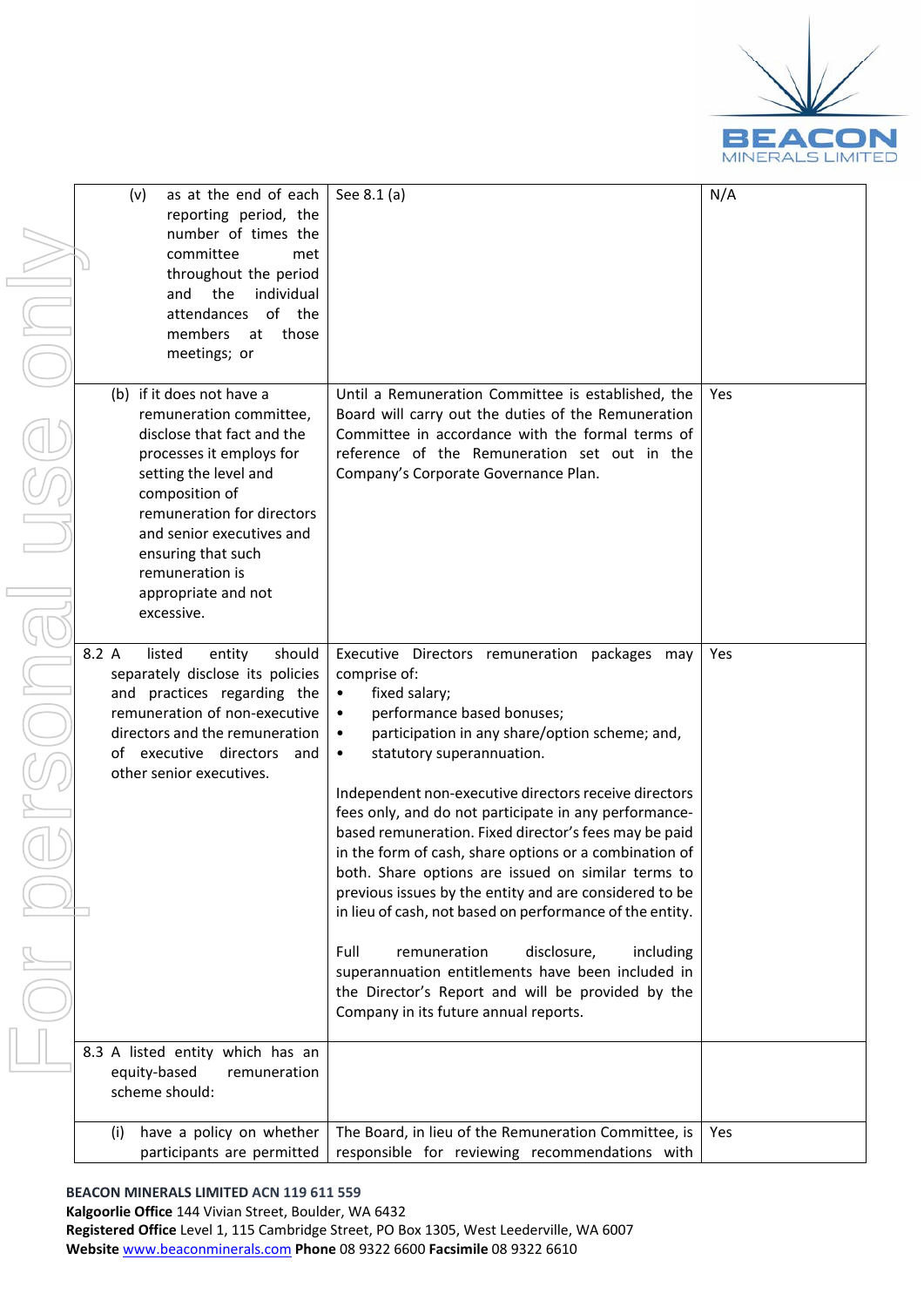

|       | (v)<br>as at the end<br>reporting per<br>number of t<br>committee<br>throughout th<br>the<br>and<br>- i<br>attendances<br>members<br>a<br>meetings; or                                                                                                     |
|-------|------------------------------------------------------------------------------------------------------------------------------------------------------------------------------------------------------------------------------------------------------------|
|       | (b)<br>if it does not have<br>remuneration con<br>disclose that fact a<br>processes it emplo<br>setting the level a<br>composition of<br>remuneration for<br>and senior execut<br>ensuring that such<br>remuneration is<br>appropriate and n<br>excessive. |
| 8.2 A | listed<br>entity<br>separately disclose it:<br>practices regare<br>and<br>remuneration of non-<br>directors and the remu<br>executive direct<br>of<br>other senior executive                                                                               |
|       |                                                                                                                                                                                                                                                            |
| 8.3   | listed entity<br>А<br>which<br>equity-based<br>rem<br>scheme should:                                                                                                                                                                                       |
|       |                                                                                                                                                                                                                                                            |

| as at the end of each<br>(v)<br>reporting period, the<br>number of times the<br>committee<br>met<br>throughout the period<br>the<br>individual<br>and<br>attendances of the<br>members<br>those<br>at<br>meetings; or                                                                              | See 8.1 (a)                                                                                                                                                                                                                                                                                                                                                                                                                                                                                                                                                                                                                                                                                                                                                                                                                                                             | N/A |
|----------------------------------------------------------------------------------------------------------------------------------------------------------------------------------------------------------------------------------------------------------------------------------------------------|-------------------------------------------------------------------------------------------------------------------------------------------------------------------------------------------------------------------------------------------------------------------------------------------------------------------------------------------------------------------------------------------------------------------------------------------------------------------------------------------------------------------------------------------------------------------------------------------------------------------------------------------------------------------------------------------------------------------------------------------------------------------------------------------------------------------------------------------------------------------------|-----|
| (b) if it does not have a<br>remuneration committee,<br>disclose that fact and the<br>processes it employs for<br>setting the level and<br>composition of<br>remuneration for directors<br>and senior executives and<br>ensuring that such<br>remuneration is<br>appropriate and not<br>excessive. | Until a Remuneration Committee is established, the<br>Board will carry out the duties of the Remuneration<br>Committee in accordance with the formal terms of<br>reference of the Remuneration set out in the<br>Company's Corporate Governance Plan.                                                                                                                                                                                                                                                                                                                                                                                                                                                                                                                                                                                                                   | Yes |
| 8.2 A<br>listed<br>should<br>entity<br>separately disclose its policies<br>and practices regarding the<br>remuneration of non-executive<br>directors and the remuneration<br>of executive directors<br>and<br>other senior executives.<br>ı                                                        | Executive Directors remuneration packages may<br>comprise of:<br>fixed salary;<br>$\bullet$<br>performance based bonuses;<br>$\bullet$<br>participation in any share/option scheme; and,<br>$\bullet$<br>statutory superannuation.<br>$\bullet$<br>Independent non-executive directors receive directors<br>fees only, and do not participate in any performance-<br>based remuneration. Fixed director's fees may be paid<br>in the form of cash, share options or a combination of<br>both. Share options are issued on similar terms to<br>previous issues by the entity and are considered to be<br>in lieu of cash, not based on performance of the entity.<br>Full<br>remuneration<br>disclosure,<br>including<br>superannuation entitlements have been included in<br>the Director's Report and will be provided by the<br>Company in its future annual reports. | Yes |
| 8.3 A listed entity which has an<br>equity-based<br>remuneration<br>scheme should:                                                                                                                                                                                                                 |                                                                                                                                                                                                                                                                                                                                                                                                                                                                                                                                                                                                                                                                                                                                                                                                                                                                         |     |
| have a policy on whether<br>(i)<br>participants are permitted                                                                                                                                                                                                                                      | The Board, in lieu of the Remuneration Committee, is<br>responsible for reviewing recommendations with                                                                                                                                                                                                                                                                                                                                                                                                                                                                                                                                                                                                                                                                                                                                                                  | Yes |

### **BEACON MINERALS LIMITED ACN 119 611 559**